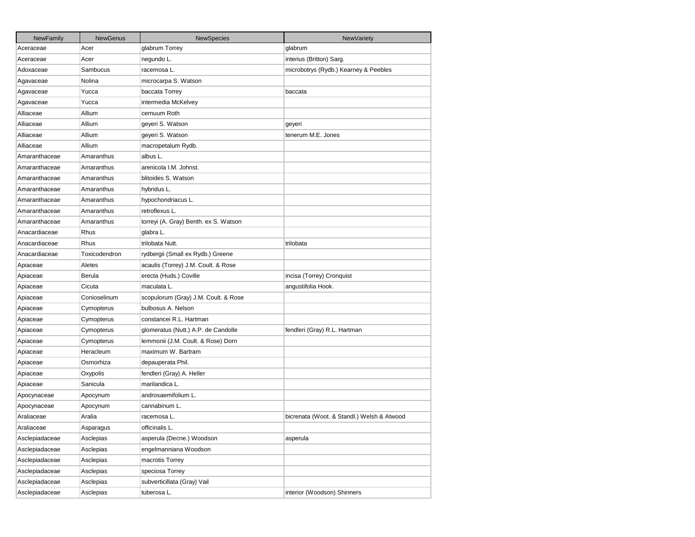| <b>NewFamily</b> | <b>NewGenus</b> | <b>NewSpecies</b>                     | <b>NewVariety</b>                          |
|------------------|-----------------|---------------------------------------|--------------------------------------------|
| Aceraceae        | Acer            | glabrum Torrey                        | glabrum                                    |
| Aceraceae        | Acer            | negundo L.                            | interius (Britton) Sarg.                   |
| Adoxaceae        | Sambucus        | racemosa L.                           | microbotrys (Rydb.) Kearney & Peebles      |
| Agavaceae        | Nolina          | microcarpa S. Watson                  |                                            |
| Agavaceae        | Yucca           | baccata Torrey                        | baccata                                    |
| Agavaceae        | Yucca           | intermedia McKelvey                   |                                            |
| Alliaceae        | Allium          | cernuum Roth                          |                                            |
| Alliaceae        | Allium          | geyeri S. Watson                      | geyeri                                     |
| Alliaceae        | Allium          | geyeri S. Watson                      | tenerum M.E. Jones                         |
| Alliaceae        | Allium          | macropetalum Rydb.                    |                                            |
| Amaranthaceae    | Amaranthus      | albus L.                              |                                            |
| Amaranthaceae    | Amaranthus      | arenicola I.M. Johnst.                |                                            |
| Amaranthaceae    | Amaranthus      | blitoides S. Watson                   |                                            |
| Amaranthaceae    | Amaranthus      | hybridus L.                           |                                            |
| Amaranthaceae    | Amaranthus      | hypochondriacus L.                    |                                            |
| Amaranthaceae    | Amaranthus      | retroflexus L.                        |                                            |
| Amaranthaceae    | Amaranthus      | torreyi (A. Gray) Benth. ex S. Watson |                                            |
| Anacardiaceae    | Rhus            | glabra L.                             |                                            |
| Anacardiaceae    | Rhus            | trilobata Nutt.                       | trilobata                                  |
| Anacardiaceae    | Toxicodendron   | rydbergii (Small ex Rydb.) Greene     |                                            |
| Apiaceae         | Aletes          | acaulis (Torrey) J.M. Coult. & Rose   |                                            |
| Apiaceae         | Berula          | erecta (Huds.) Coville                | incisa (Torrey) Cronquist                  |
| Apiaceae         | Cicuta          | maculata L.                           | angustifolia Hook.                         |
| Apiaceae         | Conioselinum    | scopulorum (Gray) J.M. Coult. & Rose  |                                            |
| Apiaceae         | Cymopterus      | bulbosus A. Nelson                    |                                            |
| Apiaceae         | Cymopterus      | constancei R.L. Hartman               |                                            |
| Apiaceae         | Cymopterus      | glomeratus (Nutt.) A.P. de Candolle   | fendleri (Gray) R.L. Hartman               |
| Apiaceae         | Cymopterus      | lemmonii (J.M. Coult. & Rose) Dorn    |                                            |
| Apiaceae         | Heracleum       | maximum W. Bartram                    |                                            |
| Apiaceae         | Osmorhiza       | depauperata Phil.                     |                                            |
| Apiaceae         | Oxypolis        | fendleri (Gray) A. Heller             |                                            |
| Apiaceae         | Sanicula        | marilandica L.                        |                                            |
| Apocynaceae      | Apocynum        | androsaemifolium L.                   |                                            |
| Apocynaceae      | Apocynum        | cannabinum L.                         |                                            |
| Araliaceae       | Aralia          | racemosa L.                           | bicrenata (Woot. & Standl.) Welsh & Atwood |
| Araliaceae       | Asparagus       | officinalis L.                        |                                            |
| Asclepiadaceae   | Asclepias       | asperula (Decne.) Woodson             | asperula                                   |
| Asclepiadaceae   | Asclepias       | engelmanniana Woodson                 |                                            |
| Asclepiadaceae   | Asclepias       | macrotis Torrey                       |                                            |
| Asclepiadaceae   | Asclepias       | speciosa Torrey                       |                                            |
| Asclepiadaceae   | Asclepias       | subverticillata (Gray) Vail           |                                            |
| Asclepiadaceae   | Asclepias       | tuberosa L.                           | interior (Woodson) Shinners                |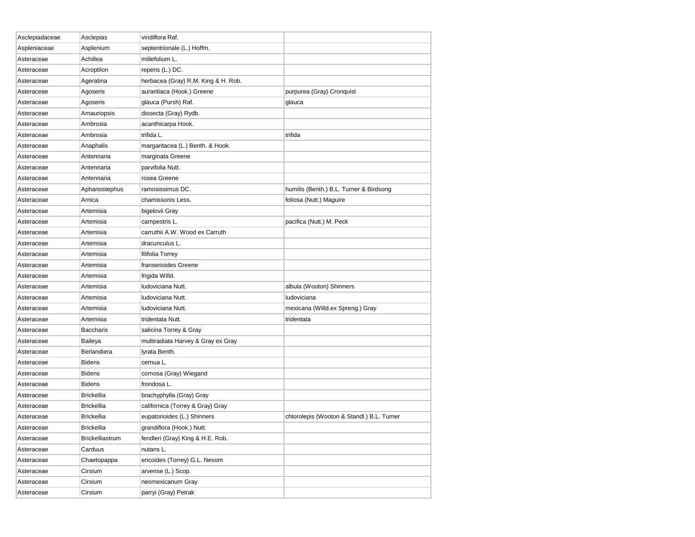| Asclepiadaceae | Asclepias              | viridiflora Raf.                    |                                            |
|----------------|------------------------|-------------------------------------|--------------------------------------------|
| Aspleniaceae   | Asplenium              | septentrionale (L.) Hoffm.          |                                            |
| Asteraceae     | Achillea               | millefolium L.                      |                                            |
| Asteraceae     | Acroptilon             | repens (L.) DC.                     |                                            |
| Asteraceae     | Ageratina              | herbacea (Gray) R.M. King & H. Rob. |                                            |
| Asteraceae     | Agoseris               | aurantiaca (Hook.) Greene           | purpurea (Gray) Cronquist                  |
| Asteraceae     | Agoseris               | glauca (Pursh) Raf.                 | glauca                                     |
| Asteraceae     | Amauriopsis            | dissecta (Gray) Rydb.               |                                            |
| Asteraceae     | Ambrosia               | acanthicarpa Hook.                  |                                            |
| Asteraceae     | Ambrosia               | trifida L.                          | trifida                                    |
| Asteraceae     | Anaphalis              | margaritacea (L.) Benth. & Hook.    |                                            |
| Asteraceae     | Antennaria             | marginata Greene                    |                                            |
| Asteraceae     | Antennaria             | parvifolia Nutt.                    |                                            |
| Asteraceae     | Antennaria             | rosea Greene                        |                                            |
| Asteraceae     | Aphanostephus          | ramosissimus DC.                    | humilis (Benth.) B.L. Turner & Birdsong    |
| Asteraceae     | Arnica                 | chamissonis Less.                   | foliosa (Nutt.) Maguire                    |
| Asteraceae     | Artemisia              | bigelovii Gray                      |                                            |
| Asteraceae     | Artemisia              | campestris L.                       | pacifica (Nutt.) M. Peck                   |
| Asteraceae     | Artemisia              | carruthii A.W. Wood ex Carruth      |                                            |
| Asteraceae     | Artemisia              | dracunculus L.                      |                                            |
| Asteraceae     | Artemisia              | filifolia Torrey                    |                                            |
| Asteraceae     | Artemisia              | franserioides Greene                |                                            |
| Asteraceae     | Artemisia              | frigida Willd.                      |                                            |
| Asteraceae     | Artemisia              | ludoviciana Nutt.                   | albula (Wooton) Shinners                   |
| Asteraceae     | Artemisia              | ludoviciana Nutt.                   | ludoviciana                                |
| Asteraceae     | Artemisia              | ludoviciana Nutt.                   | mexicana (Willd.ex Spreng.) Gray           |
| Asteraceae     | Artemisia              | tridentata Nutt.                    | tridentata                                 |
| Asteraceae     | <b>Baccharis</b>       | salicina Torrey & Gray              |                                            |
| Asteraceae     | Baileya                | multiradiata Harvey & Gray ex Gray  |                                            |
| Asteraceae     | Berlandiera            | lyrata Benth.                       |                                            |
| Asteraceae     | <b>Bidens</b>          | cernua L.                           |                                            |
| Asteraceae     | <b>Bidens</b>          | comosa (Gray) Wiegand               |                                            |
| Asteraceae     | <b>Bidens</b>          | frondosa L.                         |                                            |
| Asteraceae     | <b>Brickellia</b>      | brachyphylla (Gray) Gray            |                                            |
| Asteraceae     | <b>Brickellia</b>      | californica (Torrey & Gray) Gray    |                                            |
| Asteraceae     | <b>Brickellia</b>      | eupatorioides (L.) Shinners         | chlorolepis (Wooton & Standl.) B.L. Turner |
| Asteraceae     | <b>Brickellia</b>      | grandiflora (Hook.) Nutt.           |                                            |
| Asteraceae     | <b>Brickelliastrum</b> | fendleri (Gray) King & H.E. Rob.    |                                            |
| Asteraceae     | Carduus                | nutans L.                           |                                            |
| Asteraceae     | Chaetopappa            | ericoides (Torrey) G.L. Nesom       |                                            |
| Asteraceae     | Cirsium                | arvense (L.) Scop.                  |                                            |
| Asteraceae     | Cirsium                | neomexicanum Gray                   |                                            |
| Asteraceae     | Cirsium                | parryi (Gray) Petrak                |                                            |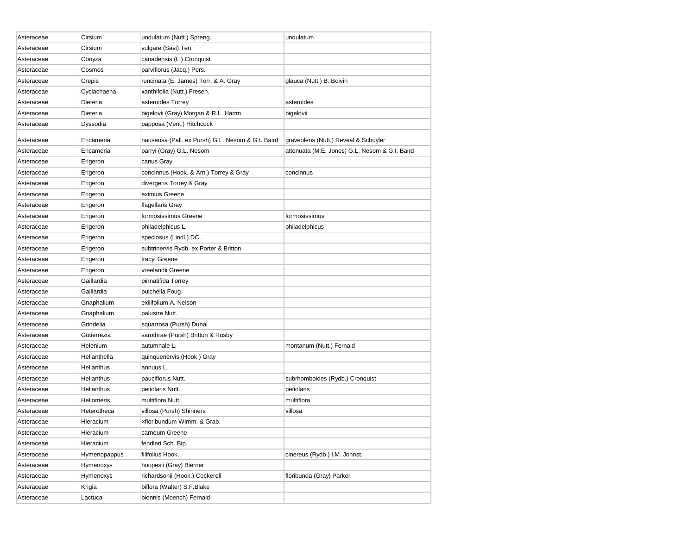| Asteraceae               | Cirsium           | undulatum (Nutt.) Spreng.                         | undulatum                                      |
|--------------------------|-------------------|---------------------------------------------------|------------------------------------------------|
| Asteraceae               | Cirsium           | vulgare (Savi) Ten.                               |                                                |
| Asteraceae               | Conyza            | canadensis (L.) Cronquist                         |                                                |
| Asteraceae               | Cosmos            | parviflorus (Jacq.) Pers.                         |                                                |
| Asteraceae               | Crepis            | runcinata (E. James) Torr. & A. Gray              | glauca (Nutt.) B. Boivin                       |
| Asteraceae               | Cyclachaena       | xanthifolia (Nutt.) Fresen.                       |                                                |
| Asteraceae               | Dieteria          | asteroides Torrey                                 | asteroides                                     |
| Asteraceae               | Dieteria          | bigelovii (Gray) Morgan & R.L. Hartm.             | bigelovii                                      |
| Asteraceae               | Dyssodia          | papposa (Vent.) Hitchcock                         |                                                |
|                          | Ericameria        | nauseosa (Pall. ex Pursh) G.L. Nesom & G.I. Baird |                                                |
| Asteraceae<br>Asteraceae | Ericameria        | parryi (Gray) G.L. Nesom                          | graveolens (Nutt.) Reveal & Schuyler           |
| Asteraceae               |                   |                                                   | attenuata (M.E. Jones) G.L. Nesom & G.I. Baird |
|                          | Erigeron          | canus Gray                                        |                                                |
| Asteraceae               | Erigeron          | concinnus (Hook. & Arn.) Torrey & Gray            | concinnus                                      |
| Asteraceae               | Erigeron          | divergens Torrey & Gray                           |                                                |
| Asteraceae               | Erigeron          | eximius Greene                                    |                                                |
| Asteraceae               | Erigeron          | flagellaris Gray                                  |                                                |
| Asteraceae               | Erigeron          | formosissimus Greene                              | formosissimus                                  |
| Asteraceae               | Erigeron          | philadelphicus L.                                 | philadelphicus                                 |
| Asteraceae               | Erigeron          | speciosus (Lindl.) DC.                            |                                                |
| Asteraceae               | Erigeron          | subtrinervis Rydb. ex Porter & Britton            |                                                |
| Asteraceae               | Erigeron          | tracyi Greene                                     |                                                |
| Asteraceae               | Erigeron          | vreelandii Greene                                 |                                                |
| Asteraceae               | Gaillardia        | pinnatifida Torrey                                |                                                |
| Asteraceae               | Gaillardia        | pulchella Foug.                                   |                                                |
| Asteraceae               | Gnaphalium        | exilifolium A. Nelson                             |                                                |
| Asteraceae               | Gnaphalium        | palustre Nutt.                                    |                                                |
| Asteraceae               | Grindelia         | squarrosa (Pursh) Dunal                           |                                                |
| Asteraceae               | Gutierrezia       | sarothrae (Pursh) Britton & Rusby                 |                                                |
| Asteraceae               | Helenium          | autumnale L.                                      | montanum (Nutt.) Fernald                       |
| Asteraceae               | Helianthella      | quinquenervis (Hook.) Gray                        |                                                |
| Asteraceae               | Helianthus        | annuus L.                                         |                                                |
| Asteraceae               | <b>Helianthus</b> | pauciflorus Nutt.                                 | subrhomboides (Rydb.) Cronquist                |
| Asteraceae               | Helianthus        | petiolaris Nutt.                                  | petiolaris                                     |
| Asteraceae               | Heliomeris        | multiflora Nutt.                                  | multiflora                                     |
| Asteraceae               | Heterotheca       | villosa (Pursh) Shinners                          | villosa                                        |
| Asteraceae               | Hieracium         | xfloribundum Wimm. & Grab.                        |                                                |
| Asteraceae               | Hieracium         | carneum Greene                                    |                                                |
| Asteraceae               | Hieracium         | fendleri Sch. Bip.                                |                                                |
| Asteraceae               | Hymenopappus      | filifolius Hook.                                  | cinereus (Rydb.) I.M. Johnst.                  |
| Asteraceae               | Hymenoxys         | hoopesii (Gray) Bierner                           |                                                |
| Asteraceae               | Hymenoxys         | richardsonii (Hook.) Cockerell                    | floribunda (Gray) Parker                       |
| Asteraceae               | Krigia            | biflora (Walter) S.F.Blake                        |                                                |
| Asteraceae               | Lactuca           | biennis (Moench) Fernald                          |                                                |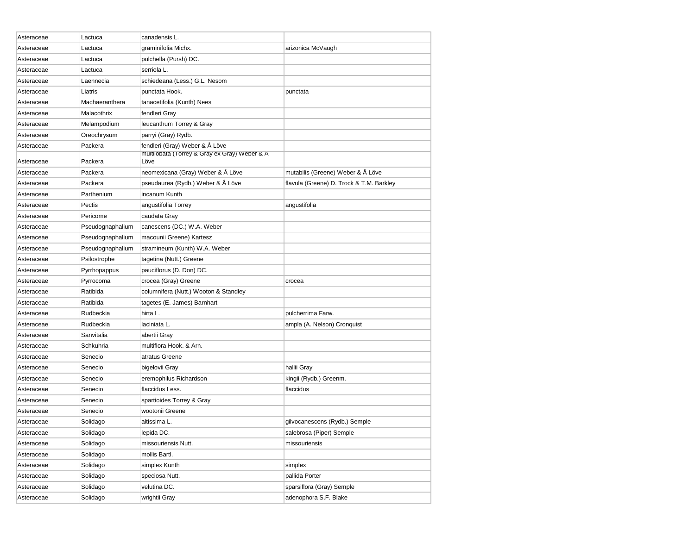| Asteraceae | Lactuca          | canadensis L.                                         |                                          |
|------------|------------------|-------------------------------------------------------|------------------------------------------|
| Asteraceae | Lactuca          | graminifolia Michx.                                   | arizonica McVaugh                        |
| Asteraceae | Lactuca          | pulchella (Pursh) DC.                                 |                                          |
| Asteraceae | Lactuca          | serriola L.                                           |                                          |
| Asteraceae | Laennecia        | schiedeana (Less.) G.L. Nesom                         |                                          |
| Asteraceae | Liatris          | punctata Hook.                                        | punctata                                 |
| Asteraceae | Machaeranthera   | tanacetifolia (Kunth) Nees                            |                                          |
| Asteraceae | Malacothrix      | fendleri Gray                                         |                                          |
| Asteraceae | Melampodium      | leucanthum Torrey & Gray                              |                                          |
| Asteraceae | Oreochrysum      | parryi (Gray) Rydb.                                   |                                          |
| Asteraceae | Packera          | fendleri (Gray) Weber & Å Löve                        |                                          |
| Asteraceae | Packera          | multilobata (Torrey & Gray ex Gray) Weber & A<br>Löve |                                          |
| Asteraceae | Packera          | neomexicana (Gray) Weber & Å Löve                     | mutabilis (Greene) Weber & Å Löve        |
| Asteraceae | Packera          | pseudaurea (Rydb.) Weber & Å Löve                     | flavula (Greene) D. Trock & T.M. Barkley |
| Asteraceae | Parthenium       | incanum Kunth                                         |                                          |
| Asteraceae | Pectis           | angustifolia Torrey                                   | angustifolia                             |
| Asteraceae | Pericome         | caudata Gray                                          |                                          |
| Asteraceae | Pseudognaphalium | canescens (DC.) W.A. Weber                            |                                          |
| Asteraceae | Pseudognaphalium | macounii Greene) Kartesz                              |                                          |
| Asteraceae | Pseudognaphalium | stramineum (Kunth) W.A. Weber                         |                                          |
| Asteraceae | Psilostrophe     | tagetina (Nutt.) Greene                               |                                          |
| Asteraceae | Pyrrhopappus     | pauciflorus (D. Don) DC.                              |                                          |
| Asteraceae | Pyrrocoma        | crocea (Gray) Greene                                  | crocea                                   |
| Asteraceae | Ratibida         | columnifera (Nutt.) Wooton & Standley                 |                                          |
| Asteraceae | Ratibida         | tagetes (E. James) Barnhart                           |                                          |
| Asteraceae | Rudbeckia        | hirta L.                                              | pulcherrima Farw.                        |
| Asteraceae | Rudbeckia        | laciniata L.                                          | ampla (A. Nelson) Cronquist              |
| Asteraceae | Sanvitalia       | abertii Gray                                          |                                          |
| Asteraceae | Schkuhria        | multiflora Hook. & Arn.                               |                                          |
| Asteraceae | Senecio          | atratus Greene                                        |                                          |
| Asteraceae | Senecio          | bigelovii Gray                                        | hallii Gray                              |
| Asteraceae | Senecio          | eremophilus Richardson                                | kingii (Rydb.) Greenm.                   |
| Asteraceae | Senecio          | flaccidus Less.                                       | flaccidus                                |
| Asteraceae | Senecio          | spartioides Torrey & Gray                             |                                          |
| Asteraceae | Senecio          | wootonii Greene                                       |                                          |
| Asteraceae | Solidago         | altissima L.                                          | gilvocanescens (Rydb.) Semple            |
| Asteraceae | Solidago         | lepida DC.                                            | salebrosa (Piper) Semple                 |
| Asteraceae | Solidago         | missouriensis Nutt.                                   | missouriensis                            |
| Asteraceae | Solidago         | mollis Bartl.                                         |                                          |
| Asteraceae | Solidago         | simplex Kunth                                         | simplex                                  |
| Asteraceae | Solidago         | speciosa Nutt.                                        | pallida Porter                           |
| Asteraceae | Solidago         | velutina DC.                                          | sparsiflora (Gray) Semple                |
| Asteraceae | Solidago         | wrightii Gray                                         | adenophora S.F. Blake                    |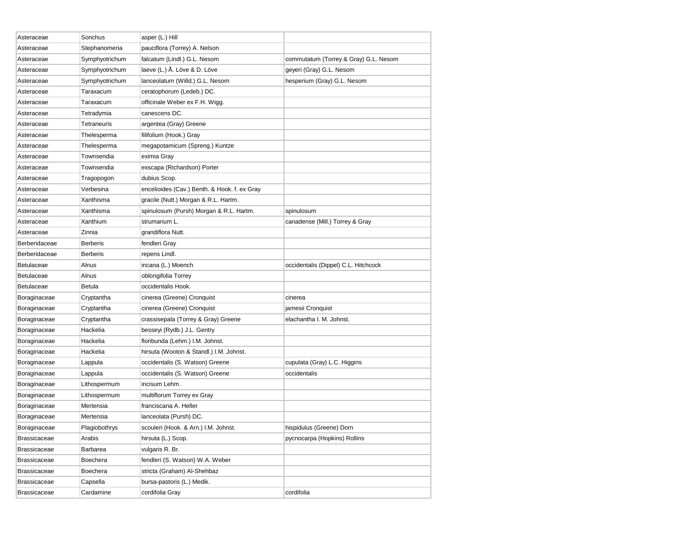| Asteraceae    | Sonchus         | asper (L.) Hill                              |                                       |
|---------------|-----------------|----------------------------------------------|---------------------------------------|
| Asteraceae    | Stephanomeria   | pauciflora (Torrey) A. Nelson                |                                       |
| Asteraceae    | Symphyotrichum  | falcatum (Lindl.) G.L. Nesom                 | commutatum (Torrey & Gray) G.L. Nesom |
| Asteraceae    | Symphyotrichum  | laeve (L.) Å. Löve & D. Löve                 | geyeri (Gray) G.L. Nesom              |
| Asteraceae    | Symphyotrichum  | lanceolatum (Willd.) G.L. Nesom              | hesperium (Gray) G.L. Nesom           |
| Asteraceae    | Taraxacum       | ceratophorum (Ledeb.) DC.                    |                                       |
| Asteraceae    | Taraxacum       | officinale Weber ex F.H. Wigg.               |                                       |
| Asteraceae    | Tetradymia      | canescens DC.                                |                                       |
| Asteraceae    | Tetraneuris     | argentea (Gray) Greene                       |                                       |
| Asteraceae    | Thelesperma     | filifolium (Hook.) Gray                      |                                       |
| Asteraceae    | Thelesperma     | megapotamicum (Spreng.) Kuntze               |                                       |
| Asteraceae    | Townsendia      | eximia Gray                                  |                                       |
| Asteraceae    | Townsendia      | exscapa (Richardson) Porter                  |                                       |
| Asteraceae    | Tragopogon      | dubius Scop.                                 |                                       |
| Asteraceae    | Verbesina       | encelioides (Cav.) Benth. & Hook. f. ex Gray |                                       |
| Asteraceae    | Xanthisma       | gracile (Nutt.) Morgan & R.L. Hartm.         |                                       |
| Asteraceae    | Xanthisma       | spinulosum (Pursh) Morgan & R.L. Hartm.      | spinulosum                            |
| Asteraceae    | Xanthium        | strumarium L.                                | canadense (Mill.) Torrey & Gray       |
| Asteraceae    | Zinnia          | grandiflora Nutt.                            |                                       |
| Berberidaceae | <b>Berberis</b> | fendleri Gray                                |                                       |
| Berberidaceae | <b>Berberis</b> | repens Lindl.                                |                                       |
| Betulaceae    | Alnus           | incana (L.) Moench                           | occidentalis (Dippel) C.L. Hitchcock  |
| Betulaceae    | Alnus           | oblongifolia Torrey                          |                                       |
| Betulaceae    | Betula          | occidentalis Hook.                           |                                       |
| Boraginaceae  | Cryptantha      | cinerea (Greene) Cronquist                   | cinerea                               |
| Boraginaceae  | Cryptantha      | cinerea (Greene) Cronquist                   | jamesii Cronquist                     |
| Boraginaceae  | Cryptantha      | crassisepala (Torrey & Gray) Greene          | elachantha I. M. Johnst.              |
| Boraginaceae  | Hackelia        | besseyi (Rydb.) J.L. Gentry                  |                                       |
| Boraginaceae  | Hackelia        | floribunda (Lehm.) I.M. Johnst.              |                                       |
| Boraginaceae  | Hackelia        | hirsuta (Wooton & Standl.) I.M. Johnst.      |                                       |
| Boraginaceae  | Lappula         | occidentalis (S. Watson) Greene              | cupulata (Gray) L.C. Higgins          |
| Boraginaceae  | Lappula         | occidentalis (S. Watson) Greene              | occidentalis                          |
| Boraginaceae  | Lithospermum    | incisum Lehm.                                |                                       |
| Boraginaceae  | Lithospermum    | multiflorum Torrey ex Gray                   |                                       |
| Boraginaceae  | Mertensia       | franciscana A. Heller                        |                                       |
| Boraginaceae  | Mertensia       | lanceolata (Pursh) DC.                       |                                       |
| Boraginaceae  | Plagiobothrys   | scouleri (Hook. & Arn.) I.M. Johnst.         | hispidulus (Greene) Dorn              |
| Brassicaceae  | Arabis          | hirsuta (L.) Scop.                           | pycnocarpa (Hopkins) Rollins          |
| Brassicaceae  | Barbarea        | vulgaris R. Br.                              |                                       |
| Brassicaceae  | Boechera        | fendleri (S. Watson) W.A. Weber              |                                       |
| Brassicaceae  | Boechera        | stricta (Graham) Al-Shehbaz                  |                                       |
| Brassicaceae  | Capsella        | bursa-pastoris (L.) Medik.                   |                                       |
| Brassicaceae  | Cardamine       | cordifolia Gray                              | cordifolia                            |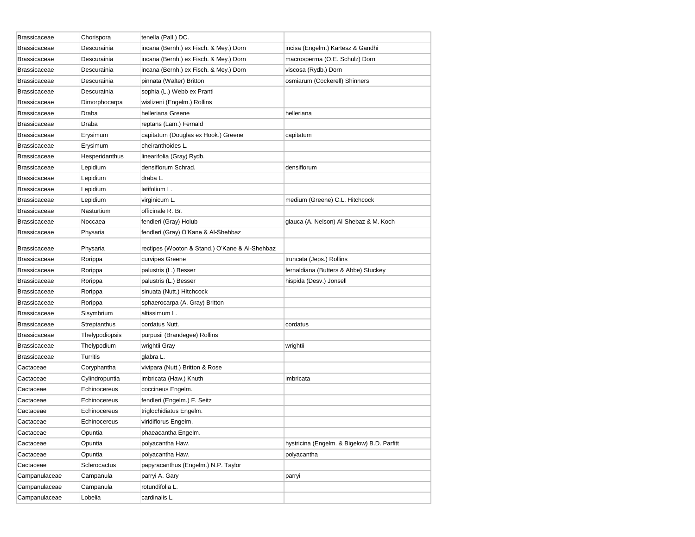| Brassicaceae        | Chorispora     | tenella (Pall.) DC.                            |                                             |
|---------------------|----------------|------------------------------------------------|---------------------------------------------|
| Brassicaceae        | Descurainia    | incana (Bernh.) ex Fisch. & Mey.) Dorn         | incisa (Engelm.) Kartesz & Gandhi           |
| Brassicaceae        | Descurainia    | incana (Bernh.) ex Fisch. & Mey.) Dorn         | macrosperma (O.E. Schulz) Dorn              |
| Brassicaceae        | Descurainia    | incana (Bernh.) ex Fisch. & Mey.) Dorn         | viscosa (Rydb.) Dorn                        |
| Brassicaceae        | Descurainia    | pinnata (Walter) Britton                       | osmiarum (Cockerell) Shinners               |
| Brassicaceae        | Descurainia    | sophia (L.) Webb ex Prantl                     |                                             |
| Brassicaceae        | Dimorphocarpa  | wislizeni (Engelm.) Rollins                    |                                             |
| Brassicaceae        | Draba          | helleriana Greene                              | helleriana                                  |
| Brassicaceae        | Draba          | reptans (Lam.) Fernald                         |                                             |
| <b>Brassicaceae</b> | Erysimum       | capitatum (Douglas ex Hook.) Greene            | capitatum                                   |
| Brassicaceae        | Erysimum       | cheiranthoides L.                              |                                             |
| Brassicaceae        | Hesperidanthus | linearifolia (Gray) Rydb.                      |                                             |
| Brassicaceae        | Lepidium       | densiflorum Schrad.                            | densiflorum                                 |
| Brassicaceae        | Lepidium       | draba L.                                       |                                             |
| Brassicaceae        | Lepidium       | latifolium L.                                  |                                             |
| Brassicaceae        | Lepidium       | virginicum L.                                  | medium (Greene) C.L. Hitchcock              |
| Brassicaceae        | Nasturtium     | officinale R. Br.                              |                                             |
| <b>Brassicaceae</b> | Noccaea        | fendleri (Gray) Holub                          | glauca (A. Nelson) Al-Shebaz & M. Koch      |
| Brassicaceae        | Physaria       | fendleri (Gray) O'Kane & Al-Shehbaz            |                                             |
| Brassicaceae        | Physaria       | rectipes (Wooton & Stand.) O'Kane & Al-Shehbaz |                                             |
| Brassicaceae        | Rorippa        | curvipes Greene                                | truncata (Jeps.) Rollins                    |
| <b>Brassicaceae</b> | Rorippa        | palustris (L.) Besser                          | fernaldiana (Butters & Abbe) Stuckey        |
| Brassicaceae        | Rorippa        | palustris (L.) Besser                          | hispida (Desv.) Jonsell                     |
| Brassicaceae        | Rorippa        | sinuata (Nutt.) Hitchcock                      |                                             |
| Brassicaceae        | Rorippa        | sphaerocarpa (A. Gray) Britton                 |                                             |
| Brassicaceae        | Sisymbrium     | altissimum L.                                  |                                             |
| Brassicaceae        | Streptanthus   | cordatus Nutt.                                 | cordatus                                    |
| Brassicaceae        | Thelypodiopsis | purpusii (Brandegee) Rollins                   |                                             |
| Brassicaceae        | Thelypodium    | wrightii Gray                                  | wrightii                                    |
| Brassicaceae        | Turritis       | glabra L.                                      |                                             |
| Cactaceae           | Coryphantha    | vivipara (Nutt.) Britton & Rose                |                                             |
| Cactaceae           | Cylindropuntia | imbricata (Haw.) Knuth                         | imbricata                                   |
| Cactaceae           | Echinocereus   | coccineus Engelm.                              |                                             |
| Cactaceae           | Echinocereus   | fendleri (Engelm.) F. Seitz                    |                                             |
| Cactaceae           | Echinocereus   | triglochidiatus Engelm.                        |                                             |
| Cactaceae           | Echinocereus   | viridiflorus Engelm.                           |                                             |
| Cactaceae           | Opuntia        | phaeacantha Engelm.                            |                                             |
| Cactaceae           | Opuntia        | polyacantha Haw.                               | hystricina (Engelm. & Bigelow) B.D. Parfitt |
| Cactaceae           | Opuntia        | polyacantha Haw.                               | polyacantha                                 |
| Cactaceae           | Sclerocactus   | papyracanthus (Engelm.) N.P. Taylor            |                                             |
| Campanulaceae       | Campanula      | parryi A. Gary                                 | parryi                                      |
| Campanulaceae       | Campanula      | rotundifolia L.                                |                                             |
| Campanulaceae       | Lobelia        | cardinalis L.                                  |                                             |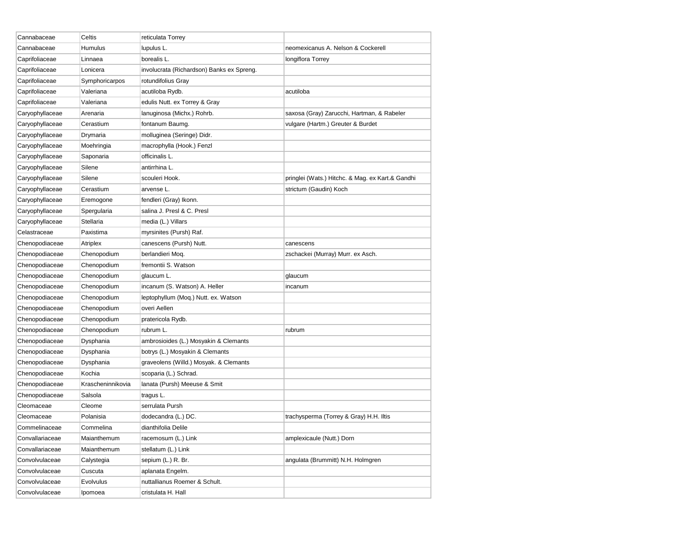| Cannabaceae     | Celtis            | reticulata Torrey                         |                                                  |
|-----------------|-------------------|-------------------------------------------|--------------------------------------------------|
| Cannabaceae     | <b>Humulus</b>    | lupulus L.                                | neomexicanus A. Nelson & Cockerell               |
| Caprifoliaceae  | Linnaea           | borealis L.                               | longiflora Torrey                                |
| Caprifoliaceae  | Lonicera          | involucrata (Richardson) Banks ex Spreng. |                                                  |
| Caprifoliaceae  | Symphoricarpos    | rotundifolius Gray                        |                                                  |
| Caprifoliaceae  | Valeriana         | acutiloba Rydb.                           | acutiloba                                        |
| Caprifoliaceae  | Valeriana         | edulis Nutt. ex Torrey & Gray             |                                                  |
| Caryophyllaceae | Arenaria          | lanuginosa (Michx.) Rohrb.                | saxosa (Gray) Zarucchi, Hartman, & Rabeler       |
| Caryophyllaceae | Cerastium         | fontanum Baumg.                           | vulgare (Hartm.) Greuter & Burdet                |
| Caryophyllaceae | Drymaria          | molluginea (Seringe) Didr.                |                                                  |
| Caryophyllaceae | Moehringia        | macrophylla (Hook.) Fenzl                 |                                                  |
| Caryophyllaceae | Saponaria         | officinalis L.                            |                                                  |
| Caryophyllaceae | Silene            | antirrhina L.                             |                                                  |
| Caryophyllaceae | Silene            | scouleri Hook.                            | pringlei (Wats.) Hitchc. & Mag. ex Kart.& Gandhi |
| Caryophyllaceae | Cerastium         | arvense L.                                | strictum (Gaudin) Koch                           |
| Caryophyllaceae | Eremogone         | fendleri (Gray) Ikonn.                    |                                                  |
| Caryophyllaceae | Spergularia       | salina J. Presl & C. Presl                |                                                  |
| Caryophyllaceae | Stellaria         | media (L.) Villars                        |                                                  |
| Celastraceae    | Paxistima         | myrsinites (Pursh) Raf.                   |                                                  |
| Chenopodiaceae  | Atriplex          | canescens (Pursh) Nutt.                   | canescens                                        |
| Chenopodiaceae  | Chenopodium       | berlandieri Mog.                          | zschackei (Murray) Murr. ex Asch.                |
| Chenopodiaceae  | Chenopodium       | fremontii S. Watson                       |                                                  |
| Chenopodiaceae  | Chenopodium       | glaucum L.                                | glaucum                                          |
| Chenopodiaceae  | Chenopodium       | incanum (S. Watson) A. Heller             | incanum                                          |
| Chenopodiaceae  | Chenopodium       | leptophyllum (Moq.) Nutt. ex. Watson      |                                                  |
| Chenopodiaceae  | Chenopodium       | overi Aellen                              |                                                  |
| Chenopodiaceae  | Chenopodium       | pratericola Rydb.                         |                                                  |
| Chenopodiaceae  | Chenopodium       | rubrum L.                                 | rubrum                                           |
| Chenopodiaceae  | Dysphania         | ambrosioides (L.) Mosyakin & Clemants     |                                                  |
| Chenopodiaceae  | Dysphania         | botrys (L.) Mosyakin & Clemants           |                                                  |
| Chenopodiaceae  | Dysphania         | graveolens (Willd.) Mosyak. & Clemants    |                                                  |
| Chenopodiaceae  | Kochia            | scoparia (L.) Schrad.                     |                                                  |
| Chenopodiaceae  | Krascheninnikovia | lanata (Pursh) Meeuse & Smit              |                                                  |
| Chenopodiaceae  | Salsola           | tragus L.                                 |                                                  |
| Cleomaceae      | Cleome            | serrulata Pursh                           |                                                  |
| Cleomaceae      | Polanisia         | dodecandra (L.) DC.                       | trachysperma (Torrey & Gray) H.H. Iltis          |
| Commelinaceae   | Commelina         | dianthifolia Delile                       |                                                  |
| Convallariaceae | Maianthemum       | racemosum (L.) Link                       | amplexicaule (Nutt.) Dorn                        |
| Convallariaceae | Maianthemum       | stellatum (L.) Link                       |                                                  |
| Convolvulaceae  | Calystegia        | sepium (L.) R. Br.                        | angulata (Brummitt) N.H. Holmgren                |
| Convolvulaceae  | Cuscuta           | aplanata Engelm.                          |                                                  |
| Convolvulaceae  | Evolvulus         | nuttallianus Roemer & Schult.             |                                                  |
| Convolvulaceae  | Ipomoea           | cristulata H. Hall                        |                                                  |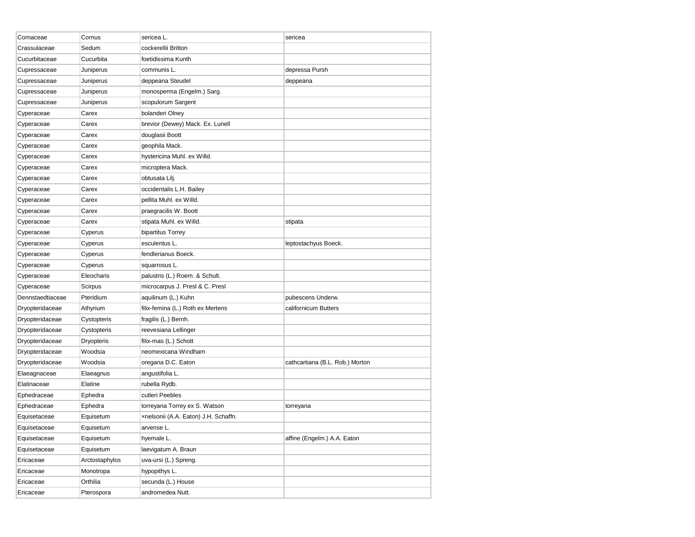| Cornaceae        | Cornus            | sericea L.                           | sericea                         |
|------------------|-------------------|--------------------------------------|---------------------------------|
| Crassulaceae     | Sedum             | cockerellii Britton                  |                                 |
| Cucurbitaceae    | Cucurbita         | foetidissima Kunth                   |                                 |
| Cupressaceae     | Juniperus         | communis L.                          | depressa Pursh                  |
| Cupressaceae     | Juniperus         | deppeana Steudel                     | deppeana                        |
| Cupressaceae     | Juniperus         | monosperma (Engelm.) Sarg.           |                                 |
| Cupressaceae     | Juniperus         | scopulorum Sargent                   |                                 |
| Cyperaceae       | Carex             | bolanderi Olney                      |                                 |
| Cyperaceae       | Carex             | brevior (Dewey) Mack. Ex. Lunell     |                                 |
| Cyperaceae       | Carex             | douglasii Boott                      |                                 |
| Cyperaceae       | Carex             | geophila Mack.                       |                                 |
| Cyperaceae       | Carex             | hystericina Muhl. ex Willd.          |                                 |
| Cyperaceae       | Carex             | microptera Mack.                     |                                 |
| Cyperaceae       | Carex             | obtusata Lilj.                       |                                 |
| Cyperaceae       | Carex             | occidentalis L.H. Bailey             |                                 |
| Cyperaceae       | Carex             | pellita Muhl. ex Willd.              |                                 |
| Cyperaceae       | Carex             | praegracilis W. Boott                |                                 |
| Cyperaceae       | Carex             | stipata Muhl. ex Willd.              | stipata                         |
| Cyperaceae       | Cyperus           | bipartitus Torrey                    |                                 |
| Cyperaceae       | Cyperus           | esculentus L.                        | leptostachyus Boeck.            |
| Cyperaceae       | Cyperus           | fendlerianus Boeck.                  |                                 |
| Cyperaceae       | Cyperus           | squarrosus L.                        |                                 |
| Cyperaceae       | Eleocharis        | palustris (L.) Roem. & Schult.       |                                 |
| Cyperaceae       | Scirpus           | microcarpus J. Presl & C. Presl      |                                 |
| Dennstaedtiaceae | Pteridium         | aquilinum (L.) Kuhn                  | pubescens Underw.               |
| Dryopteridaceae  | Athyrium          | filix-femina (L.) Roth ex Mertens    | californicum Butters            |
| Dryopteridaceae  | Cystopteris       | fragilis (L.) Bernh.                 |                                 |
| Dryopteridaceae  | Cystopteris       | reevesiana Lellinger                 |                                 |
| Dryopteridaceae  | <b>Dryopteris</b> | filix-mas (L.) Schott                |                                 |
| Dryopteridaceae  | Woodsia           | neomexicana Windham                  |                                 |
| Dryopteridaceae  | Woodsia           | oregana D.C. Eaton                   | cathcartiana (B.L. Rob.) Morton |
| Elaeagnaceae     | Elaeagnus         | angustifolia L.                      |                                 |
| Elatinaceae      | Elatine           | rubella Rydb.                        |                                 |
| Ephedraceae      | Ephedra           | cutleri Peebles                      |                                 |
| Ephedraceae      | Ephedra           | torreyana Torrey ex S. Watson        | torreyana                       |
| Equisetaceae     | Equisetum         | xnelsonii (A.A. Eaton) J.H. Schaffn. |                                 |
| Equisetaceae     | Equisetum         | arvense L.                           |                                 |
| Equisetaceae     | Equisetum         | hyemale L.                           | affine (Engelm.) A.A. Eaton     |
| Equisetaceae     | Equisetum         | laevigatum A. Braun                  |                                 |
| Ericaceae        | Arctostaphylos    | uva-ursi (L.) Spreng.                |                                 |
| Ericaceae        | Monotropa         | hypopithys L.                        |                                 |
| Ericaceae        | Orthilia          | secunda (L.) House                   |                                 |
| Ericaceae        | Pterospora        | andromedea Nutt.                     |                                 |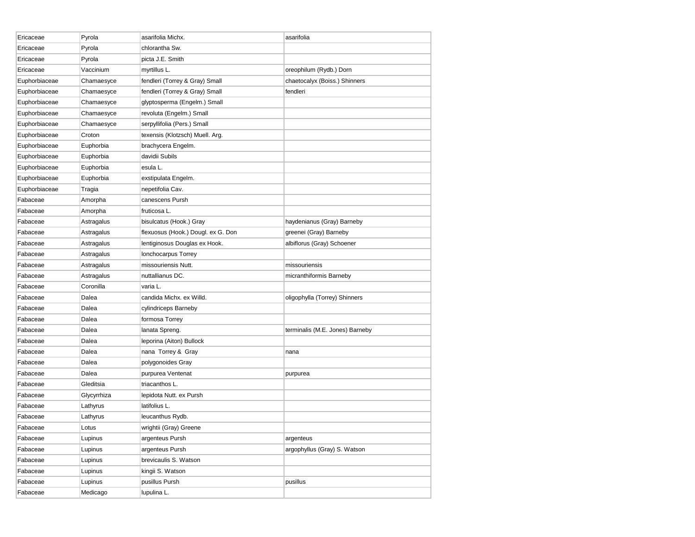| Ericaceae     | Pyrola      | asarifolia Michx.                  | asarifolia                      |
|---------------|-------------|------------------------------------|---------------------------------|
| Ericaceae     | Pyrola      | chlorantha Sw.                     |                                 |
| Ericaceae     | Pyrola      | picta J.E. Smith                   |                                 |
| Ericaceae     | Vaccinium   | myrtillus L.                       | oreophilum (Rydb.) Dorn         |
| Euphorbiaceae | Chamaesyce  | fendleri (Torrey & Gray) Small     | chaetocalyx (Boiss.) Shinners   |
| Euphorbiaceae | Chamaesyce  | fendleri (Torrey & Gray) Small     | fendleri                        |
| Euphorbiaceae | Chamaesyce  | glyptosperma (Engelm.) Small       |                                 |
| Euphorbiaceae | Chamaesyce  | revoluta (Engelm.) Small           |                                 |
| Euphorbiaceae | Chamaesyce  | serpyllifolia (Pers.) Small        |                                 |
| Euphorbiaceae | Croton      | texensis (Klotzsch) Muell. Arg.    |                                 |
| Euphorbiaceae | Euphorbia   | brachycera Engelm.                 |                                 |
| Euphorbiaceae | Euphorbia   | davidii Subils                     |                                 |
| Euphorbiaceae | Euphorbia   | esula L.                           |                                 |
| Euphorbiaceae | Euphorbia   | exstipulata Engelm.                |                                 |
| Euphorbiaceae | Tragia      | nepetifolia Cav.                   |                                 |
| Fabaceae      | Amorpha     | canescens Pursh                    |                                 |
| Fabaceae      | Amorpha     | fruticosa L.                       |                                 |
| Fabaceae      | Astragalus  | bisulcatus (Hook.) Gray            | haydenianus (Gray) Barneby      |
| Fabaceae      | Astragalus  | flexuosus (Hook.) Dougl. ex G. Don | greenei (Gray) Barneby          |
| Fabaceae      | Astragalus  | lentiginosus Douglas ex Hook.      | albiflorus (Gray) Schoener      |
| Fabaceae      | Astragalus  | Ionchocarpus Torrey                |                                 |
| Fabaceae      | Astragalus  | missouriensis Nutt.                | missouriensis                   |
| Fabaceae      | Astragalus  | nuttallianus DC.                   | micranthiformis Barneby         |
| Fabaceae      | Coronilla   | varia L.                           |                                 |
| Fabaceae      | Dalea       | candida Michx. ex Willd.           | oligophylla (Torrey) Shinners   |
| Fabaceae      | Dalea       | cylindriceps Barneby               |                                 |
| Fabaceae      | Dalea       | formosa Torrey                     |                                 |
| Fabaceae      | Dalea       | lanata Spreng.                     | terminalis (M.E. Jones) Barneby |
| Fabaceae      | Dalea       | leporina (Aiton) Bullock           |                                 |
| Fabaceae      | Dalea       | nana Torrey & Gray                 | nana                            |
| Fabaceae      | Dalea       | polygonoides Gray                  |                                 |
| Fabaceae      | Dalea       | purpurea Ventenat                  | purpurea                        |
| Fabaceae      | Gleditsia   | triacanthos L.                     |                                 |
| Fabaceae      | Glycyrrhiza | lepidota Nutt. ex Pursh            |                                 |
| Fabaceae      | Lathyrus    | latifolius L.                      |                                 |
| Fabaceae      | Lathyrus    | leucanthus Rydb.                   |                                 |
| Fabaceae      | Lotus       | wrightii (Gray) Greene             |                                 |
| Fabaceae      | Lupinus     | argenteus Pursh                    | argenteus                       |
| Fabaceae      | Lupinus     | argenteus Pursh                    | argophyllus (Gray) S. Watson    |
| Fabaceae      | Lupinus     | brevicaulis S. Watson              |                                 |
| Fabaceae      | Lupinus     | kingii S. Watson                   |                                 |
| Fabaceae      | Lupinus     | pusillus Pursh                     | pusillus                        |
| Fabaceae      | Medicago    | lupulina L.                        |                                 |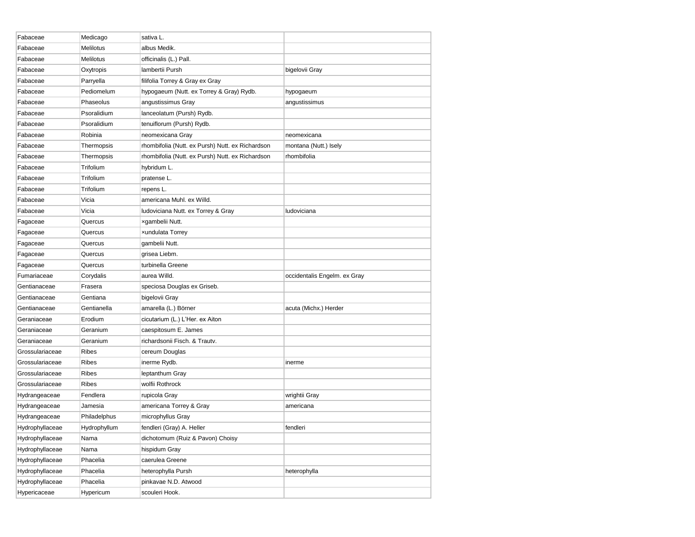| Fabaceae        | Medicago         | sativa L.                                        |                              |
|-----------------|------------------|--------------------------------------------------|------------------------------|
| Fabaceae        | Melilotus        | albus Medik.                                     |                              |
| Fabaceae        | <b>Melilotus</b> | officinalis (L.) Pall.                           |                              |
| Fabaceae        | Oxytropis        | lambertii Pursh                                  | bigelovii Gray               |
| Fabaceae        | Parryella        | filifolia Torrey & Gray ex Gray                  |                              |
| Fabaceae        | Pediomelum       | hypogaeum (Nutt. ex Torrey & Gray) Rydb.         | hypogaeum                    |
| Fabaceae        | Phaseolus        | angustissimus Gray                               | angustissimus                |
| Fabaceae        | Psoralidium      | lanceolatum (Pursh) Rydb.                        |                              |
| Fabaceae        | Psoralidium      | tenuiflorum (Pursh) Rydb.                        |                              |
| Fabaceae        | Robinia          | neomexicana Gray                                 | neomexicana                  |
| Fabaceae        | Thermopsis       | rhombifolia (Nutt. ex Pursh) Nutt. ex Richardson | montana (Nutt.) Isely        |
| Fabaceae        | Thermopsis       | rhombifolia (Nutt. ex Pursh) Nutt. ex Richardson | rhombifolia                  |
| Fabaceae        | Trifolium        | hybridum L.                                      |                              |
| Fabaceae        | Trifolium        | pratense L.                                      |                              |
| Fabaceae        | Trifolium        | repens L.                                        |                              |
| Fabaceae        | Vicia            | americana Muhl. ex Willd.                        |                              |
| Fabaceae        | Vicia            | ludoviciana Nutt. ex Torrey & Gray               | ludoviciana                  |
| Fagaceae        | Quercus          | xgambelii Nutt.                                  |                              |
| Fagaceae        | Quercus          | xundulata Torrey                                 |                              |
| Fagaceae        | Quercus          | gambelii Nutt.                                   |                              |
| Fagaceae        | Quercus          | grisea Liebm.                                    |                              |
| Fagaceae        | Quercus          | turbinella Greene                                |                              |
| Fumariaceae     | Corydalis        | aurea Willd.                                     | occidentalis Engelm. ex Gray |
| Gentianaceae    | Frasera          | speciosa Douglas ex Griseb.                      |                              |
| Gentianaceae    | Gentiana         | bigelovii Gray                                   |                              |
| Gentianaceae    | Gentianella      | amarella (L.) Börner                             | acuta (Michx.) Herder        |
| Geraniaceae     | Erodium          | cicutarium (L.) L'Her. ex Aiton                  |                              |
| Geraniaceae     | Geranium         | caespitosum E. James                             |                              |
| Geraniaceae     | Geranium         | richardsonii Fisch. & Trautv.                    |                              |
| Grossulariaceae | <b>Ribes</b>     | cereum Douglas                                   |                              |
| Grossulariaceae | <b>Ribes</b>     | inerme Rydb.                                     | inerme                       |
| Grossulariaceae | <b>Ribes</b>     | leptanthum Gray                                  |                              |
| Grossulariaceae | <b>Ribes</b>     | wolfii Rothrock                                  |                              |
| Hydrangeaceae   | Fendlera         | rupicola Gray                                    | wrightii Gray                |
| Hydrangeaceae   | Jamesia          | americana Torrey & Gray                          | americana                    |
| Hydrangeaceae   | Philadelphus     | microphyllus Gray                                |                              |
| Hydrophyllaceae | Hydrophyllum     | fendleri (Gray) A. Heller                        | fendleri                     |
| Hydrophyllaceae | Nama             | dichotomum (Ruiz & Pavon) Choisy                 |                              |
| Hydrophyllaceae | Nama             | hispidum Gray                                    |                              |
| Hydrophyllaceae | Phacelia         | caerulea Greene                                  |                              |
| Hydrophyllaceae | Phacelia         | heterophylla Pursh                               | heterophylla                 |
| Hydrophyllaceae | Phacelia         | pinkavae N.D. Atwood                             |                              |
| Hypericaceae    | Hypericum        | scouleri Hook.                                   |                              |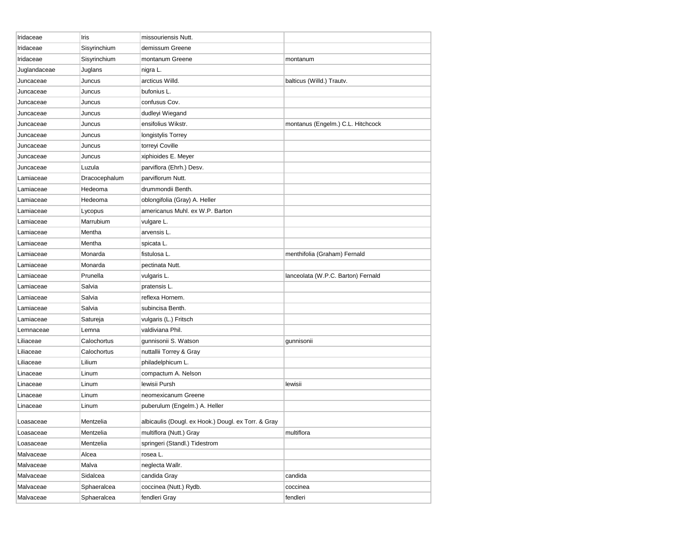| Iridaceae    | Iris          | missouriensis Nutt.                                 |                                    |
|--------------|---------------|-----------------------------------------------------|------------------------------------|
| Iridaceae    | Sisyrinchium  | demissum Greene                                     |                                    |
| Iridaceae    | Sisyrinchium  | montanum Greene                                     | montanum                           |
| Juglandaceae | Juglans       | nigra L.                                            |                                    |
| Juncaceae    | Juncus        | arcticus Willd.                                     | balticus (Willd.) Trautv.          |
| Juncaceae    | Juncus        | bufonius L.                                         |                                    |
| Juncaceae    | Juncus        | confusus Cov.                                       |                                    |
| Juncaceae    | Juncus        | dudleyi Wiegand                                     |                                    |
| Juncaceae    | Juncus        | ensifolius Wikstr.                                  | montanus (Engelm.) C.L. Hitchcock  |
| Juncaceae    | Juncus        | longistylis Torrey                                  |                                    |
| Juncaceae    | Juncus        | torreyi Coville                                     |                                    |
| Juncaceae    | Juncus        | xiphioides E. Meyer                                 |                                    |
| Juncaceae    | Luzula        | parviflora (Ehrh.) Desv.                            |                                    |
| Lamiaceae    | Dracocephalum | parviflorum Nutt.                                   |                                    |
| Lamiaceae    | Hedeoma       | drummondii Benth.                                   |                                    |
| Lamiaceae    | Hedeoma       | oblongifolia (Gray) A. Heller                       |                                    |
| Lamiaceae    | Lycopus       | americanus Muhl. ex W.P. Barton                     |                                    |
| Lamiaceae    | Marrubium     | vulgare L.                                          |                                    |
| Lamiaceae    | Mentha        | arvensis L.                                         |                                    |
| Lamiaceae    | Mentha        | spicata L.                                          |                                    |
| Lamiaceae    | Monarda       | fistulosa L.                                        | menthifolia (Graham) Fernald       |
| Lamiaceae    | Monarda       | pectinata Nutt.                                     |                                    |
| Lamiaceae    | Prunella      | vulgaris L.                                         | lanceolata (W.P.C. Barton) Fernald |
| Lamiaceae    | Salvia        | pratensis L.                                        |                                    |
| Lamiaceae    | Salvia        | reflexa Hornem.                                     |                                    |
| Lamiaceae    | Salvia        | subincisa Benth.                                    |                                    |
| Lamiaceae    | Satureja      | vulgaris (L.) Fritsch                               |                                    |
| Lemnaceae    | Lemna         | valdiviana Phil.                                    |                                    |
| Liliaceae    | Calochortus   | gunnisonii S. Watson                                | gunnisonii                         |
| Liliaceae    | Calochortus   | nuttallii Torrey & Gray                             |                                    |
| Liliaceae    | Lilium        | philadelphicum L.                                   |                                    |
| Linaceae     | Linum         | compactum A. Nelson                                 |                                    |
| Linaceae     | Linum         | lewisii Pursh                                       | lewisii                            |
| Linaceae     | Linum         | neomexicanum Greene                                 |                                    |
| Linaceae     | Linum         | puberulum (Engelm.) A. Heller                       |                                    |
| Loasaceae    | Mentzelia     | albicaulis (Dougl. ex Hook.) Dougl. ex Torr. & Gray |                                    |
| Loasaceae    | Mentzelia     | multiflora (Nutt.) Gray                             | multiflora                         |
| Loasaceae    | Mentzelia     | springeri (Standl.) Tidestrom                       |                                    |
| Malvaceae    | Alcea         | rosea L.                                            |                                    |
| Malvaceae    | Malva         | neglecta Wallr.                                     |                                    |
| Malvaceae    | Sidalcea      | candida Gray                                        | candida                            |
| Malvaceae    | Sphaeralcea   | coccinea (Nutt.) Rydb.                              | coccinea                           |
| Malvaceae    | Sphaeralcea   | fendleri Gray                                       | fendleri                           |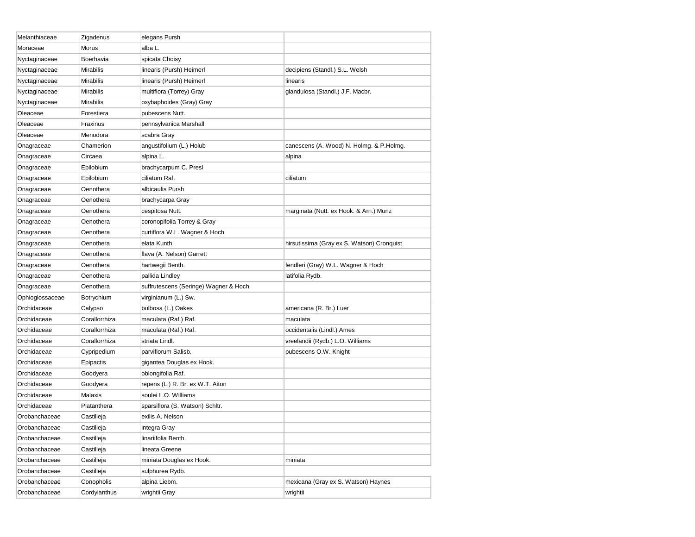| Melanthiaceae   | Zigadenus        | elegans Pursh                         |                                            |
|-----------------|------------------|---------------------------------------|--------------------------------------------|
| Moraceae        | Morus            | alba L.                               |                                            |
| Nyctaginaceae   | Boerhavia        | spicata Choisy                        |                                            |
| Nyctaginaceae   | <b>Mirabilis</b> | linearis (Pursh) Heimerl              | decipiens (Standl.) S.L. Welsh             |
| Nyctaginaceae   | <b>Mirabilis</b> | linearis (Pursh) Heimerl              | linearis                                   |
| Nyctaginaceae   | <b>Mirabilis</b> | multiflora (Torrey) Gray              | glandulosa (Standl.) J.F. Macbr.           |
| Nyctaginaceae   | Mirabilis        | oxybaphoides (Gray) Gray              |                                            |
| Oleaceae        | Forestiera       | pubescens Nutt.                       |                                            |
| Oleaceae        | Fraxinus         | pennsylvanica Marshall                |                                            |
| Oleaceae        | Menodora         | scabra Gray                           |                                            |
| Onagraceae      | Chamerion        | angustifolium (L.) Holub              | canescens (A. Wood) N. Holmg. & P.Holmg.   |
| Onagraceae      | Circaea          | alpina L.                             | alpina                                     |
| Onagraceae      | Epilobium        | brachycarpum C. Presl                 |                                            |
| Onagraceae      | Epilobium        | ciliatum Raf.                         | ciliatum                                   |
| Onagraceae      | Oenothera        | albicaulis Pursh                      |                                            |
| Onagraceae      | Oenothera        | brachycarpa Gray                      |                                            |
| Onagraceae      | Oenothera        | cespitosa Nutt.                       | marginata (Nutt. ex Hook. & Arn.) Munz     |
| Onagraceae      | Oenothera        | coronopifolia Torrey & Gray           |                                            |
| Onagraceae      | Oenothera        | curtiflora W.L. Wagner & Hoch         |                                            |
| Onagraceae      | Oenothera        | elata Kunth                           | hirsutissima (Gray ex S. Watson) Cronquist |
| Onagraceae      | Oenothera        | flava (A. Nelson) Garrett             |                                            |
| Onagraceae      | Oenothera        | hartwegii Benth.                      | fendleri (Gray) W.L. Wagner & Hoch         |
| Onagraceae      | Oenothera        | pallida Lindley                       | latifolia Rydb.                            |
| Onagraceae      | Oenothera        | suffrutescens (Seringe) Wagner & Hoch |                                            |
| Ophioglossaceae | Botrychium       | virginianum (L.) Sw.                  |                                            |
| Orchidaceae     | Calypso          | bulbosa (L.) Oakes                    | americana (R. Br.) Luer                    |
| Orchidaceae     | Corallorrhiza    | maculata (Raf.) Raf.                  | maculata                                   |
| Orchidaceae     | Corallorrhiza    | maculata (Raf.) Raf.                  | occidentalis (Lindl.) Ames                 |
| Orchidaceae     | Corallorrhiza    | striata Lindl.                        | vreelandii (Rydb.) L.O. Williams           |
| Orchidaceae     | Cypripedium      | parviflorum Salisb.                   | pubescens O.W. Knight                      |
| Orchidaceae     | Epipactis        | gigantea Douglas ex Hook.             |                                            |
| Orchidaceae     | Goodyera         | oblongifolia Raf.                     |                                            |
| Orchidaceae     | Goodyera         | repens (L.) R. Br. ex W.T. Aiton      |                                            |
| Orchidaceae     | Malaxis          | soulei L.O. Williams                  |                                            |
| Orchidaceae     | Platanthera      | sparsiflora (S. Watson) Schltr.       |                                            |
| Orobanchaceae   | Castilleja       | exilis A. Nelson                      |                                            |
| Orobanchaceae   | Castilleja       | integra Gray                          |                                            |
| Orobanchaceae   | Castilleja       | linariifolia Benth.                   |                                            |
| Orobanchaceae   | Castilleja       | lineata Greene                        |                                            |
| Orobanchaceae   | Castilleja       | miniata Douglas ex Hook.              | miniata                                    |
| Orobanchaceae   | Castilleja       | sulphurea Rydb.                       |                                            |
| Orobanchaceae   | Conopholis       | alpina Liebm.                         | mexicana (Gray ex S. Watson) Haynes        |
| Orobanchaceae   | Cordylanthus     | wrightii Gray                         | wrightii                                   |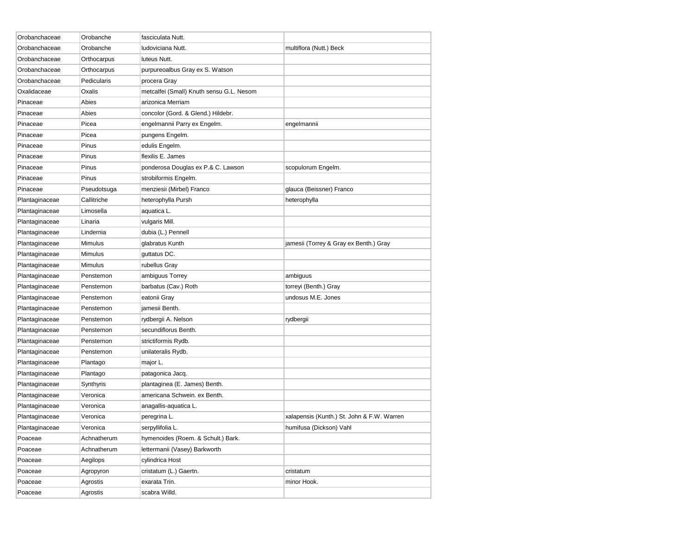| Orobanchaceae  | Orobanche   | fasciculata Nutt.                        |                                            |
|----------------|-------------|------------------------------------------|--------------------------------------------|
| Orobanchaceae  | Orobanche   | ludoviciana Nutt.                        | multiflora (Nutt.) Beck                    |
| Orobanchaceae  | Orthocarpus | luteus Nutt.                             |                                            |
| Orobanchaceae  | Orthocarpus | purpureoalbus Gray ex S. Watson          |                                            |
| Orobanchaceae  | Pedicularis | procera Gray                             |                                            |
| Oxalidaceae    | Oxalis      | metcalfei (Small) Knuth sensu G.L. Nesom |                                            |
| Pinaceae       | Abies       | arizonica Merriam                        |                                            |
| Pinaceae       | Abies       | concolor (Gord. & Glend.) Hildebr.       |                                            |
| Pinaceae       | Picea       | engelmannii Parry ex Engelm.             | engelmannii                                |
| Pinaceae       | Picea       | pungens Engelm.                          |                                            |
| Pinaceae       | Pinus       | edulis Engelm.                           |                                            |
| Pinaceae       | Pinus       | flexilis E. James                        |                                            |
| Pinaceae       | Pinus       | ponderosa Douglas ex P.& C. Lawson       | scopulorum Engelm.                         |
| Pinaceae       | Pinus       | strobiformis Engelm.                     |                                            |
| Pinaceae       | Pseudotsuga | menziesii (Mirbel) Franco                | glauca (Beissner) Franco                   |
| Plantaginaceae | Callitriche | heterophylla Pursh                       | heterophylla                               |
| Plantaginaceae | Limosella   | aquatica L.                              |                                            |
| Plantaginaceae | Linaria     | vulgaris Mill.                           |                                            |
| Plantaginaceae | Lindernia   | dubia (L.) Pennell                       |                                            |
| Plantaginaceae | Mimulus     | glabratus Kunth                          | jamesii (Torrey & Gray ex Benth.) Gray     |
| Plantaginaceae | Mimulus     | guttatus DC.                             |                                            |
| Plantaginaceae | Mimulus     | rubellus Gray                            |                                            |
| Plantaginaceae | Penstemon   | ambiguus Torrey                          | ambiguus                                   |
| Plantaginaceae | Penstemon   | barbatus (Cav.) Roth                     | torreyi (Benth.) Gray                      |
| Plantaginaceae | Penstemon   | eatonii Gray                             | undosus M.E. Jones                         |
| Plantaginaceae | Penstemon   | jamesii Benth.                           |                                            |
| Plantaginaceae | Penstemon   | rydbergii A. Nelson                      | rydbergii                                  |
| Plantaginaceae | Penstemon   | secundiflorus Benth.                     |                                            |
| Plantaginaceae | Penstemon   | strictiformis Rydb.                      |                                            |
| Plantaginaceae | Penstemon   | unilateralis Rydb.                       |                                            |
| Plantaginaceae | Plantago    | major L.                                 |                                            |
| Plantaginaceae | Plantago    | patagonica Jacq.                         |                                            |
| Plantaginaceae | Synthyris   | plantaginea (E. James) Benth.            |                                            |
| Plantaginaceae | Veronica    | americana Schwein. ex Benth.             |                                            |
| Plantaginaceae | Veronica    | anagallis-aquatica L.                    |                                            |
| Plantaginaceae | Veronica    | peregrina L.                             | xalapensis (Kunth.) St. John & F.W. Warren |
| Plantaginaceae | Veronica    | serpyllifolia L.                         | humifusa (Dickson) Vahl                    |
| Poaceae        | Achnatherum | hymenoides (Roem. & Schult.) Bark.       |                                            |
| Poaceae        | Achnatherum | lettermanii (Vasey) Barkworth            |                                            |
| Poaceae        | Aegilops    | cylindrica Host                          |                                            |
| Poaceae        | Agropyron   | cristatum (L.) Gaertn.                   | cristatum                                  |
| Poaceae        | Agrostis    | exarata Trin.                            | minor Hook.                                |
| Poaceae        | Agrostis    | scabra Willd.                            |                                            |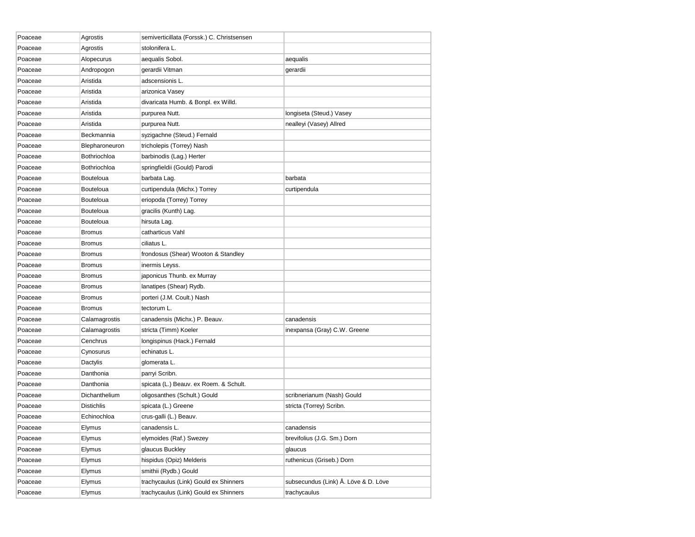| Poaceae | Agrostis          | semiverticillata (Forssk.) C. Christsensen |                                      |
|---------|-------------------|--------------------------------------------|--------------------------------------|
| Poaceae | Agrostis          | stolonifera L.                             |                                      |
| Poaceae | Alopecurus        | aequalis Sobol.                            | aequalis                             |
| Poaceae | Andropogon        | gerardii Vitman                            | gerardii                             |
| Poaceae | Aristida          | adscensionis L.                            |                                      |
| Poaceae | Aristida          | arizonica Vasey                            |                                      |
| Poaceae | Aristida          | divaricata Humb. & Bonpl. ex Willd.        |                                      |
| Poaceae | Aristida          | purpurea Nutt.                             | longiseta (Steud.) Vasey             |
| Poaceae | Aristida          | purpurea Nutt.                             | nealleyi (Vasey) Allred              |
| Poaceae | Beckmannia        | syzigachne (Steud.) Fernald                |                                      |
| Poaceae | Blepharoneuron    | tricholepis (Torrey) Nash                  |                                      |
| Poaceae | Bothriochloa      | barbinodis (Lag.) Herter                   |                                      |
| Poaceae | Bothriochloa      | springfieldii (Gould) Parodi               |                                      |
| Poaceae | <b>Bouteloua</b>  | barbata Lag.                               | barbata                              |
| Poaceae | Bouteloua         | curtipendula (Michx.) Torrey               | curtipendula                         |
| Poaceae | <b>Bouteloua</b>  | eriopoda (Torrey) Torrey                   |                                      |
| Poaceae | <b>Bouteloua</b>  | gracilis (Kunth) Lag.                      |                                      |
| Poaceae | Bouteloua         | hirsuta Lag.                               |                                      |
| Poaceae | <b>Bromus</b>     | catharticus Vahl                           |                                      |
| Poaceae | <b>Bromus</b>     | ciliatus L.                                |                                      |
| Poaceae | <b>Bromus</b>     | frondosus (Shear) Wooton & Standley        |                                      |
| Poaceae | <b>Bromus</b>     | inermis Leyss.                             |                                      |
| Poaceae | <b>Bromus</b>     | japonicus Thunb. ex Murray                 |                                      |
| Poaceae | <b>Bromus</b>     | lanatipes (Shear) Rydb.                    |                                      |
| Poaceae | <b>Bromus</b>     | porteri (J.M. Coult.) Nash                 |                                      |
| Poaceae | <b>Bromus</b>     | tectorum L.                                |                                      |
| Poaceae | Calamagrostis     | canadensis (Michx.) P. Beauv.              | canadensis                           |
| Poaceae | Calamagrostis     | stricta (Timm) Koeler                      | inexpansa (Gray) C.W. Greene         |
| Poaceae | Cenchrus          | longispinus (Hack.) Fernald                |                                      |
| Poaceae | Cynosurus         | echinatus L.                               |                                      |
| Poaceae | Dactylis          | glomerata L.                               |                                      |
| Poaceae | Danthonia         | parryi Scribn.                             |                                      |
| Poaceae | Danthonia         | spicata (L.) Beauv. ex Roem. & Schult.     |                                      |
| Poaceae | Dichanthelium     | oligosanthes (Schult.) Gould               | scribnerianum (Nash) Gould           |
| Poaceae | <b>Distichlis</b> | spicata (L.) Greene                        | stricta (Torrey) Scribn.             |
| Poaceae | Echinochloa       | crus-galli (L.) Beauv.                     |                                      |
| Poaceae | Elymus            | canadensis L.                              | canadensis                           |
| Poaceae | Elymus            | elymoides (Raf.) Swezey                    | brevifolius (J.G. Sm.) Dorn          |
| Poaceae | Elymus            | glaucus Buckley                            | glaucus                              |
| Poaceae | Elymus            | hispidus (Opiz) Melderis                   | ruthenicus (Griseb.) Dorn            |
| Poaceae | Elymus            | smithii (Rydb.) Gould                      |                                      |
| Poaceae | Elymus            | trachycaulus (Link) Gould ex Shinners      | subsecundus (Link) Å. Löve & D. Löve |
| Poaceae | Elymus            | trachycaulus (Link) Gould ex Shinners      | trachycaulus                         |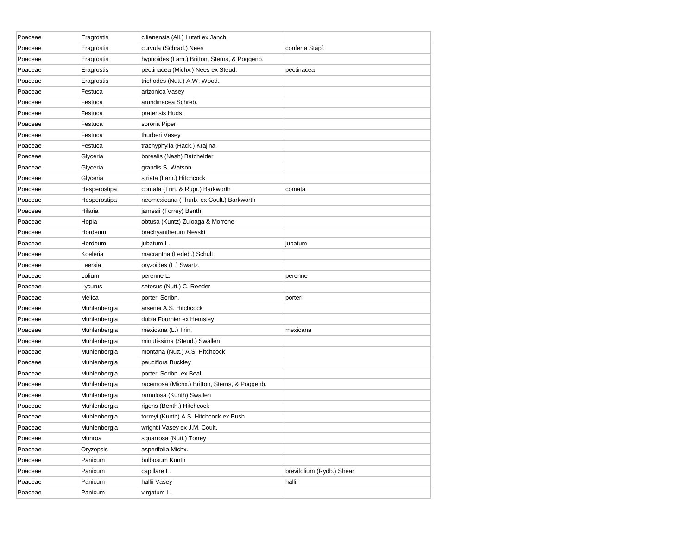| Poaceae | Eragrostis   | cilianensis (All.) Lutati ex Janch.           |                           |
|---------|--------------|-----------------------------------------------|---------------------------|
| Poaceae | Eragrostis   | curvula (Schrad.) Nees                        | conferta Stapf.           |
| Poaceae | Eragrostis   | hypnoides (Lam.) Britton, Sterns, & Poggenb.  |                           |
| Poaceae | Eragrostis   | pectinacea (Michx.) Nees ex Steud.            | pectinacea                |
| Poaceae | Eragrostis   | trichodes (Nutt.) A.W. Wood.                  |                           |
| Poaceae | Festuca      | arizonica Vasey                               |                           |
| Poaceae | Festuca      | arundinacea Schreb.                           |                           |
| Poaceae | Festuca      | pratensis Huds.                               |                           |
| Poaceae | Festuca      | sororia Piper                                 |                           |
| Poaceae | Festuca      | thurberi Vasey                                |                           |
| Poaceae | Festuca      | trachyphylla (Hack.) Krajina                  |                           |
| Poaceae | Glyceria     | borealis (Nash) Batchelder                    |                           |
| Poaceae | Glyceria     | grandis S. Watson                             |                           |
| Poaceae | Glyceria     | striata (Lam.) Hitchcock                      |                           |
| Poaceae | Hesperostipa | comata (Trin. & Rupr.) Barkworth              | comata                    |
| Poaceae | Hesperostipa | neomexicana (Thurb. ex Coult.) Barkworth      |                           |
| Poaceae | Hilaria      | jamesii (Torrey) Benth.                       |                           |
| Poaceae | Hopia        | obtusa (Kuntz) Zuloaga & Morrone              |                           |
| Poaceae | Hordeum      | brachyantherum Nevski                         |                           |
| Poaceae | Hordeum      | jubatum L.                                    | jubatum                   |
| Poaceae | Koeleria     | macrantha (Ledeb.) Schult.                    |                           |
| Poaceae | Leersia      | oryzoides (L.) Swartz.                        |                           |
| Poaceae | Lolium       | perenne L.                                    | perenne                   |
| Poaceae | Lycurus      | setosus (Nutt.) C. Reeder                     |                           |
| Poaceae | Melica       | porteri Scribn.                               | porteri                   |
| Poaceae | Muhlenbergia | arsenei A.S. Hitchcock                        |                           |
| Poaceae | Muhlenbergia | dubia Fournier ex Hemsley                     |                           |
| Poaceae | Muhlenbergia | mexicana (L.) Trin.                           | mexicana                  |
| Poaceae | Muhlenbergia | minutissima (Steud.) Swallen                  |                           |
| Poaceae | Muhlenbergia | montana (Nutt.) A.S. Hitchcock                |                           |
| Poaceae | Muhlenbergia | pauciflora Buckley                            |                           |
| Poaceae | Muhlenbergia | porteri Scribn. ex Beal                       |                           |
| Poaceae | Muhlenbergia | racemosa (Michx.) Britton, Sterns, & Poggenb. |                           |
| Poaceae | Muhlenbergia | ramulosa (Kunth) Swallen                      |                           |
| Poaceae | Muhlenbergia | rigens (Benth.) Hitchcock                     |                           |
| Poaceae | Muhlenbergia | torreyi (Kunth) A.S. Hitchcock ex Bush        |                           |
| Poaceae | Muhlenbergia | wrightii Vasey ex J.M. Coult.                 |                           |
| Poaceae | Munroa       | squarrosa (Nutt.) Torrey                      |                           |
| Poaceae | Oryzopsis    | asperifolia Michx.                            |                           |
| Poaceae | Panicum      | bulbosum Kunth                                |                           |
| Poaceae | Panicum      | capillare L.                                  | brevifolium (Rydb.) Shear |
| Poaceae | Panicum      | hallii Vasey                                  | hallii                    |
| Poaceae | Panicum      | virgatum L.                                   |                           |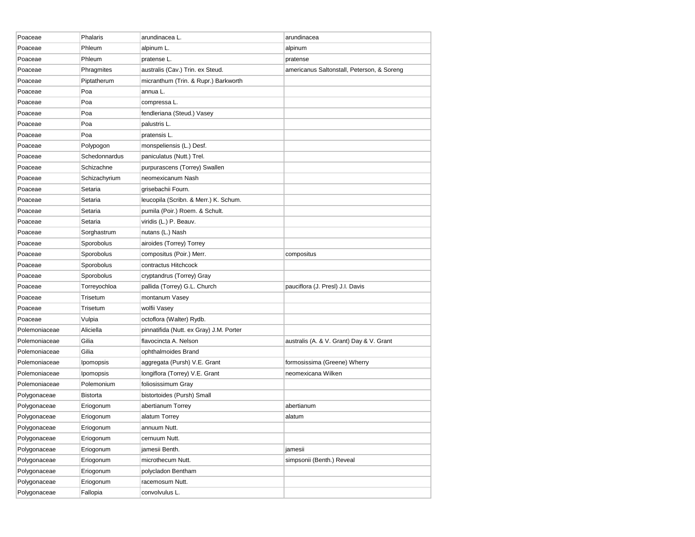| Poaceae       | Phalaris      | arundinacea L.                          | arundinacea                                |
|---------------|---------------|-----------------------------------------|--------------------------------------------|
| Poaceae       | Phleum        | alpinum L.                              | alpinum                                    |
| Poaceae       | Phleum        | pratense L.                             | pratense                                   |
| Poaceae       | Phragmites    | australis (Cav.) Trin. ex Steud.        | americanus Saltonstall, Peterson, & Soreng |
| Poaceae       | Piptatherum   | micranthum (Trin. & Rupr.) Barkworth    |                                            |
| Poaceae       | Poa           | annua L.                                |                                            |
| Poaceae       | Poa           | compressa L.                            |                                            |
| Poaceae       | Poa           | fendleriana (Steud.) Vasey              |                                            |
| Poaceae       | Poa           | palustris L.                            |                                            |
| Poaceae       | Poa           | pratensis L.                            |                                            |
| Poaceae       | Polypogon     | monspeliensis (L.) Desf.                |                                            |
| Poaceae       | Schedonnardus | paniculatus (Nutt.) Trel.               |                                            |
| Poaceae       | Schizachne    | purpurascens (Torrey) Swallen           |                                            |
| Poaceae       | Schizachyrium | neomexicanum Nash                       |                                            |
| Poaceae       | Setaria       | grisebachii Fourn.                      |                                            |
| Poaceae       | Setaria       | leucopila (Scribn. & Merr.) K. Schum.   |                                            |
| Poaceae       | Setaria       | pumila (Poir.) Roem. & Schult.          |                                            |
| Poaceae       | Setaria       | viridis (L.) P. Beauv.                  |                                            |
| Poaceae       | Sorghastrum   | nutans (L.) Nash                        |                                            |
| Poaceae       | Sporobolus    | airoides (Torrey) Torrey                |                                            |
| Poaceae       | Sporobolus    | compositus (Poir.) Merr.                | compositus                                 |
| Poaceae       | Sporobolus    | contractus Hitchcock                    |                                            |
| Poaceae       | Sporobolus    | cryptandrus (Torrey) Gray               |                                            |
| Poaceae       | Torreyochloa  | pallida (Torrey) G.L. Church            | pauciflora (J. Presl) J.I. Davis           |
| Poaceae       | Trisetum      | montanum Vasey                          |                                            |
| Poaceae       | Trisetum      | wolfii Vasey                            |                                            |
| Poaceae       | Vulpia        | octoflora (Walter) Rydb.                |                                            |
| Polemoniaceae | Aliciella     | pinnatifida (Nutt. ex Gray) J.M. Porter |                                            |
| Polemoniaceae | Gilia         | flavocincta A. Nelson                   | australis (A. & V. Grant) Day & V. Grant   |
| Polemoniaceae | Gilia         | ophthalmoides Brand                     |                                            |
| Polemoniaceae | Ipomopsis     | aggregata (Pursh) V.E. Grant            | formosissima (Greene) Wherry               |
| Polemoniaceae | Ipomopsis     | longiflora (Torrey) V.E. Grant          | neomexicana Wilken                         |
| Polemoniaceae | Polemonium    | foliosissimum Gray                      |                                            |
| Polygonaceae  | Bistorta      | bistortoides (Pursh) Small              |                                            |
| Polygonaceae  | Eriogonum     | abertianum Torrey                       | abertianum                                 |
| Polygonaceae  | Eriogonum     | alatum Torrey                           | alatum                                     |
| Polygonaceae  | Eriogonum     | annuum Nutt.                            |                                            |
| Polygonaceae  | Eriogonum     | cernuum Nutt.                           |                                            |
| Polygonaceae  | Eriogonum     | jamesii Benth.                          | jamesii                                    |
| Polygonaceae  | Eriogonum     | microthecum Nutt.                       | simpsonii (Benth.) Reveal                  |
| Polygonaceae  | Eriogonum     | polycladon Bentham                      |                                            |
| Polygonaceae  | Eriogonum     | racemosum Nutt.                         |                                            |
| Polygonaceae  | Fallopia      | convolvulus L.                          |                                            |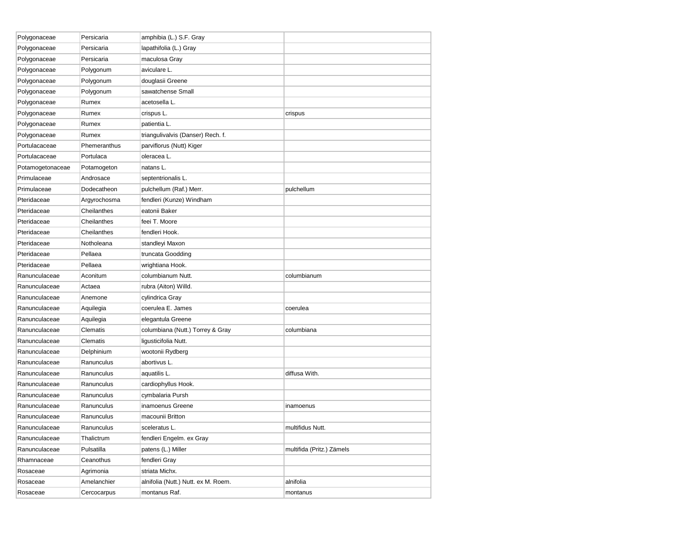| Polygonaceae     | Persicaria   | amphibia (L.) S.F. Gray             |                           |
|------------------|--------------|-------------------------------------|---------------------------|
| Polygonaceae     | Persicaria   | lapathifolia (L.) Gray              |                           |
| Polygonaceae     | Persicaria   | maculosa Gray                       |                           |
| Polygonaceae     | Polygonum    | aviculare L.                        |                           |
| Polygonaceae     | Polygonum    | douglasii Greene                    |                           |
| Polygonaceae     | Polygonum    | sawatchense Small                   |                           |
| Polygonaceae     | Rumex        | acetosella L.                       |                           |
| Polygonaceae     | Rumex        | crispus L.                          | crispus                   |
| Polygonaceae     | Rumex        | patientia L.                        |                           |
| Polygonaceae     | Rumex        | triangulivalvis (Danser) Rech. f.   |                           |
| Portulacaceae    | Phemeranthus | parviflorus (Nutt) Kiger            |                           |
| Portulacaceae    | Portulaca    | oleracea L.                         |                           |
| Potamogetonaceae | Potamogeton  | natans L.                           |                           |
| Primulaceae      | Androsace    | septentrionalis L.                  |                           |
| Primulaceae      | Dodecatheon  | pulchellum (Raf.) Merr.             | pulchellum                |
| Pteridaceae      | Argyrochosma | fendleri (Kunze) Windham            |                           |
| Pteridaceae      | Cheilanthes  | eatonii Baker                       |                           |
| Pteridaceae      | Cheilanthes  | feei T. Moore                       |                           |
| Pteridaceae      | Cheilanthes  | fendleri Hook.                      |                           |
| Pteridaceae      | Notholeana   | standleyi Maxon                     |                           |
| Pteridaceae      | Pellaea      | truncata Goodding                   |                           |
| Pteridaceae      | Pellaea      | wrightiana Hook.                    |                           |
| Ranunculaceae    | Aconitum     | columbianum Nutt.                   | columbianum               |
| Ranunculaceae    | Actaea       | rubra (Aiton) Willd.                |                           |
| Ranunculaceae    | Anemone      | cylindrica Gray                     |                           |
| Ranunculaceae    | Aquilegia    | coerulea E. James                   | coerulea                  |
| Ranunculaceae    | Aquilegia    | elegantula Greene                   |                           |
| Ranunculaceae    | Clematis     | columbiana (Nutt.) Torrey & Gray    | columbiana                |
| Ranunculaceae    | Clematis     | ligusticifolia Nutt.                |                           |
| Ranunculaceae    | Delphinium   | wootonii Rydberg                    |                           |
| Ranunculaceae    | Ranunculus   | abortivus L.                        |                           |
| Ranunculaceae    | Ranunculus   | aquatilis L.                        | diffusa With.             |
| Ranunculaceae    | Ranunculus   | cardiophyllus Hook.                 |                           |
| Ranunculaceae    | Ranunculus   | cymbalaria Pursh                    |                           |
| Ranunculaceae    | Ranunculus   | inamoenus Greene                    | inamoenus                 |
| Ranunculaceae    | Ranunculus   | macounii Britton                    |                           |
| Ranunculaceae    | Ranunculus   | sceleratus L.                       | multifidus Nutt.          |
| Ranunculaceae    | Thalictrum   | fendleri Engelm. ex Gray            |                           |
| Ranunculaceae    | Pulsatilla   | patens (L.) Miller                  | multifida (Pritz.) Zämels |
| Rhamnaceae       | Ceanothus    | fendleri Gray                       |                           |
| Rosaceae         | Agrimonia    | striata Michx.                      |                           |
| Rosaceae         | Amelanchier  | alnifolia (Nutt.) Nutt. ex M. Roem. | alnifolia                 |
| Rosaceae         | Cercocarpus  | montanus Raf.                       | montanus                  |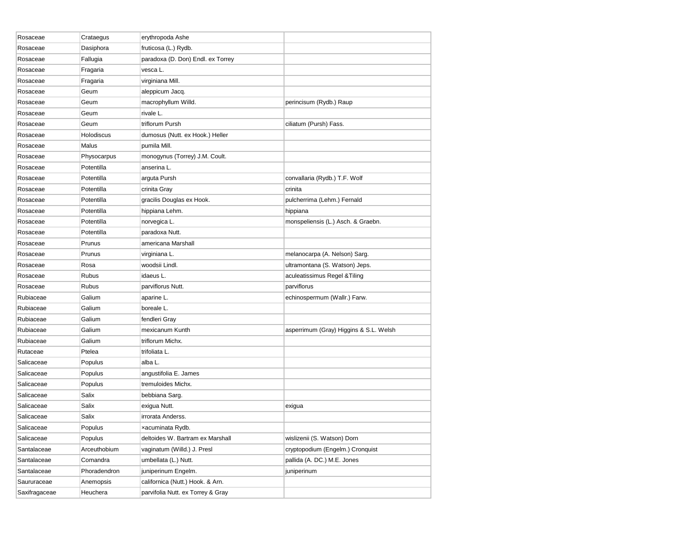| Rosaceae      | Crataegus    | erythropoda Ashe                  |                                        |
|---------------|--------------|-----------------------------------|----------------------------------------|
| Rosaceae      | Dasiphora    | fruticosa (L.) Rydb.              |                                        |
| Rosaceae      | Fallugia     | paradoxa (D. Don) Endl. ex Torrey |                                        |
| Rosaceae      | Fragaria     | vesca L.                          |                                        |
| Rosaceae      | Fragaria     | virginiana Mill.                  |                                        |
| Rosaceae      | Geum         | aleppicum Jacq.                   |                                        |
| Rosaceae      | Geum         | macrophyllum Willd.               | perincisum (Rydb.) Raup                |
| Rosaceae      | Geum         | rivale L.                         |                                        |
| Rosaceae      | Geum         | triflorum Pursh                   | ciliatum (Pursh) Fass.                 |
| Rosaceae      | Holodiscus   | dumosus (Nutt. ex Hook.) Heller   |                                        |
| Rosaceae      | Malus        | pumila Mill.                      |                                        |
| Rosaceae      | Physocarpus  | monogynus (Torrey) J.M. Coult.    |                                        |
| Rosaceae      | Potentilla   | anserina L.                       |                                        |
| Rosaceae      | Potentilla   | arguta Pursh                      | convallaria (Rydb.) T.F. Wolf          |
| Rosaceae      | Potentilla   | crinita Gray                      | crinita                                |
| Rosaceae      | Potentilla   | gracilis Douglas ex Hook.         | pulcherrima (Lehm.) Fernald            |
| Rosaceae      | Potentilla   | hippiana Lehm.                    | hippiana                               |
| Rosaceae      | Potentilla   | norvegica L.                      | monspeliensis (L.) Asch. & Graebn.     |
| Rosaceae      | Potentilla   | paradoxa Nutt.                    |                                        |
| Rosaceae      | Prunus       | americana Marshall                |                                        |
| Rosaceae      | Prunus       | virginiana L.                     | melanocarpa (A. Nelson) Sarg.          |
| Rosaceae      | Rosa         | woodsii Lindl.                    | ultramontana (S. Watson) Jeps.         |
| Rosaceae      | Rubus        | idaeus L.                         | aculeatissimus Regel & Tiling          |
| Rosaceae      | Rubus        | parviflorus Nutt.                 | parviflorus                            |
| Rubiaceae     | Galium       | aparine L.                        | echinospermum (Wallr.) Farw.           |
| Rubiaceae     | Galium       | boreale L.                        |                                        |
| Rubiaceae     | Galium       | fendleri Gray                     |                                        |
| Rubiaceae     | Galium       | mexicanum Kunth                   | asperrimum (Gray) Higgins & S.L. Welsh |
| Rubiaceae     | Galium       | triflorum Michx.                  |                                        |
| Rutaceae      | Ptelea       | trifoliata L.                     |                                        |
| Salicaceae    | Populus      | alba L.                           |                                        |
| Salicaceae    | Populus      | angustifolia E. James             |                                        |
| Salicaceae    | Populus      | tremuloides Michx.                |                                        |
| Salicaceae    | Salix        | bebbiana Sarg.                    |                                        |
| Salicaceae    | Salix        | exigua Nutt.                      | exigua                                 |
| Salicaceae    | Salix        | irrorata Anderss.                 |                                        |
| Salicaceae    | Populus      | xacuminata Rydb.                  |                                        |
| Salicaceae    | Populus      | deltoides W. Bartram ex Marshall  | wislizenii (S. Watson) Dorn            |
| Santalaceae   | Arceuthobium | vaginatum (Willd.) J. Presl       | cryptopodium (Engelm.) Cronquist       |
| Santalaceae   | Comandra     | umbellata (L.) Nutt.              | pallida (A. DC.) M.E. Jones            |
| Santalaceae   | Phoradendron | juniperinum Engelm.               | juniperinum                            |
| Saururaceae   | Anemopsis    | californica (Nutt.) Hook. & Arn.  |                                        |
| Saxifragaceae | Heuchera     | parvifolia Nutt. ex Torrey & Gray |                                        |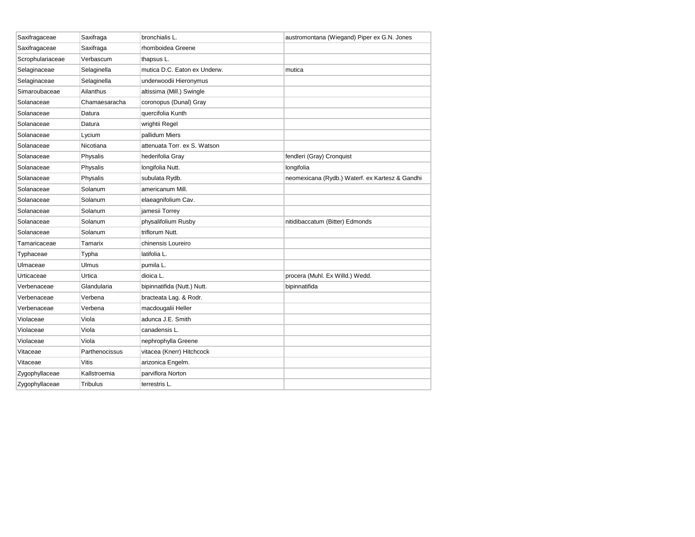| Saxifragaceae    | Saxifraga       | bronchialis L.               | austromontana (Wiegand) Piper ex G.N. Jones     |
|------------------|-----------------|------------------------------|-------------------------------------------------|
| Saxifragaceae    | Saxifraga       | rhomboidea Greene            |                                                 |
| Scrophulariaceae | Verbascum       | thapsus L.                   |                                                 |
| Selaginaceae     | Selaginella     | mutica D.C. Eaton ex Underw. | mutica                                          |
| Selaginaceae     | Selaginella     | underwoodii Hieronymus       |                                                 |
| Simaroubaceae    | Ailanthus       | altissima (Mill.) Swingle    |                                                 |
| Solanaceae       | Chamaesaracha   | coronopus (Dunal) Gray       |                                                 |
| Solanaceae       | Datura          | quercifolia Kunth            |                                                 |
| Solanaceae       | Datura          | wrightii Regel               |                                                 |
| Solanaceae       | Lycium          | pallidum Miers               |                                                 |
| Solanaceae       | Nicotiana       | attenuata Torr, ex S. Watson |                                                 |
| Solanaceae       | Physalis        | hederifolia Gray             | fendleri (Gray) Cronquist                       |
| Solanaceae       | Physalis        | longifolia Nutt.             | longifolia                                      |
| Solanaceae       | Physalis        | subulata Rydb.               | neomexicana (Rydb.) Waterf. ex Kartesz & Gandhi |
| Solanaceae       | Solanum         | americanum Mill.             |                                                 |
| Solanaceae       | Solanum         | elaeagnifolium Cav.          |                                                 |
| Solanaceae       | Solanum         | jamesii Torrey               |                                                 |
| Solanaceae       | Solanum         | physalifolium Rusby          | nitidibaccatum (Bitter) Edmonds                 |
| Solanaceae       | Solanum         | triflorum Nutt.              |                                                 |
| Tamaricaceae     | Tamarix         | chinensis Loureiro           |                                                 |
| Typhaceae        | Typha           | latifolia L.                 |                                                 |
| Ulmaceae         | Ulmus           | pumila L.                    |                                                 |
| Urticaceae       | Urtica          | dioica L.                    | procera (Muhl. Ex Willd.) Wedd.                 |
| Verbenaceae      | Glandularia     | bipinnatifida (Nutt.) Nutt.  | bipinnatifida                                   |
| Verbenaceae      | Verbena         | bracteata Lag. & Rodr.       |                                                 |
| Verbenaceae      | Verbena         | macdougalii Heller           |                                                 |
| Violaceae        | Viola           | adunca J.E. Smith            |                                                 |
| Violaceae        | Viola           | canadensis L.                |                                                 |
| Violaceae        | Viola           | nephrophylla Greene          |                                                 |
| Vitaceae         | Parthenocissus  | vitacea (Knerr) Hitchcock    |                                                 |
| Vitaceae         | Vitis           | arizonica Engelm.            |                                                 |
| Zygophyllaceae   | Kallstroemia    | parviflora Norton            |                                                 |
| Zygophyllaceae   | <b>Tribulus</b> | terrestris L.                |                                                 |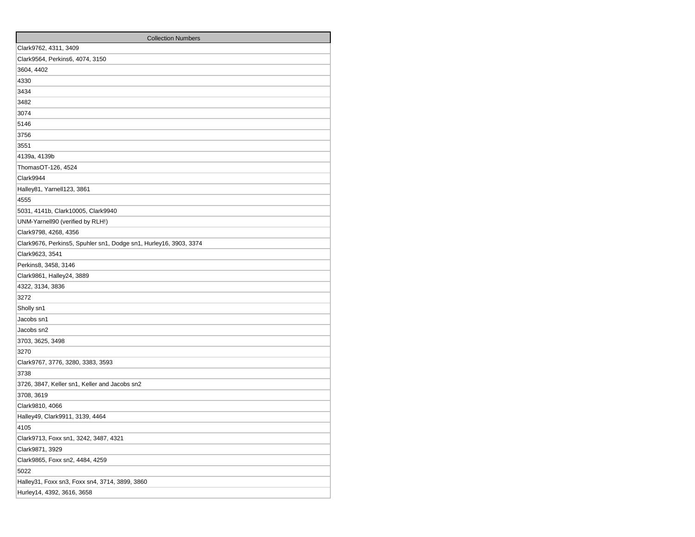| <b>Collection Numbers</b>                                         |
|-------------------------------------------------------------------|
| Clark9762, 4311, 3409                                             |
| Clark9564, Perkins6, 4074, 3150                                   |
| 3604, 4402                                                        |
| 4330                                                              |
| 3434                                                              |
| 3482                                                              |
| 3074                                                              |
| 5146                                                              |
| 3756                                                              |
| 3551                                                              |
| 4139a, 4139b                                                      |
| ThomasOT-126, 4524                                                |
| Clark9944                                                         |
| Halley81, Yarnell123, 3861                                        |
| 4555                                                              |
| 5031, 4141b, Clark10005, Clark9940                                |
| UNM-Yarnell90 (verified by RLH!)                                  |
| Clark9798, 4268, 4356                                             |
| Clark9676, Perkins5, Spuhler sn1, Dodge sn1, Hurley16, 3903, 3374 |
| Clark9623, 3541                                                   |
| Perkins8, 3458, 3146                                              |
| Clark9861, Halley24, 3889                                         |
| 4322, 3134, 3836                                                  |
| 3272                                                              |
| Sholly sn1                                                        |
| Jacobs sn1                                                        |
| Jacobs sn2                                                        |
| 3703, 3625, 3498                                                  |
| 3270                                                              |
| Clark9767, 3776, 3280, 3383, 3593                                 |
| 3738                                                              |
| 3726, 3847, Keller sn1, Keller and Jacobs sn2                     |
| 3708, 3619                                                        |
| Clark9810, 4066                                                   |
| Halley49, Clark9911, 3139, 4464                                   |
| 4105                                                              |
| Clark9713, Foxx sn1, 3242, 3487, 4321                             |
| Clark9871, 3929                                                   |
| Clark9865, Foxx sn2, 4484, 4259                                   |
| 5022                                                              |
| Halley31, Foxx sn3, Foxx sn4, 3714, 3899, 3860                    |
| Hurley14, 4392, 3616, 3658                                        |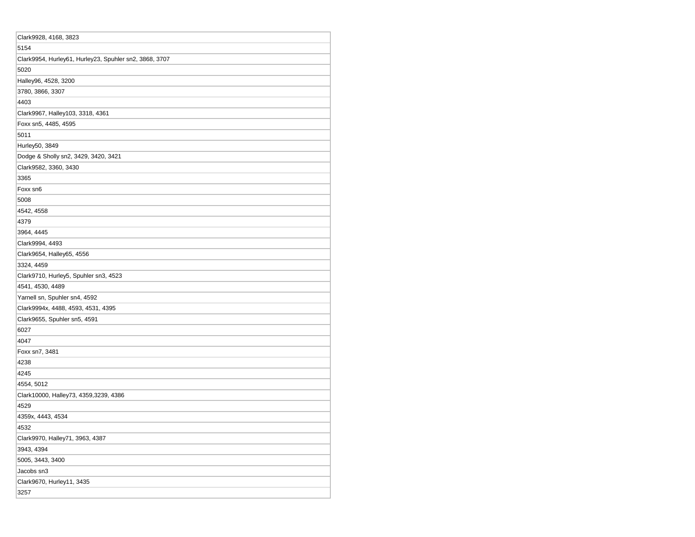| 5154<br>Clark9954, Hurley61, Hurley23, Spuhler sn2, 3868, 3707<br>5020<br>Halley96, 4528, 3200<br>3780, 3866, 3307<br>4403<br>Clark9967, Halley103, 3318, 4361<br>Foxx sn5, 4485, 4595<br>5011<br>Hurley50, 3849<br>Dodge & Sholly sn2, 3429, 3420, 3421<br>Clark9582, 3360, 3430<br>3365<br>Foxx sn6<br>5008<br>4542, 4558<br>4379<br>3964, 4445<br>Clark9994, 4493<br>Clark9654, Halley65, 4556<br>3324, 4459<br>Clark9710, Hurley5, Spuhler sn3, 4523<br>4541, 4530, 4489<br>Yarnell sn, Spuhler sn4, 4592<br>Clark9994x, 4488, 4593, 4531, 4395<br>Clark9655, Spuhler sn5, 4591<br>6027<br>4047<br>Foxx sn7, 3481<br>4238<br>4245<br>4554, 5012<br>Clark10000, Halley73, 4359,3239, 4386<br>4529<br>4359x, 4443, 4534<br>4532<br>Clark9970, Halley71, 3963, 4387<br>3943, 4394<br>5005, 3443, 3400 |
|--------------------------------------------------------------------------------------------------------------------------------------------------------------------------------------------------------------------------------------------------------------------------------------------------------------------------------------------------------------------------------------------------------------------------------------------------------------------------------------------------------------------------------------------------------------------------------------------------------------------------------------------------------------------------------------------------------------------------------------------------------------------------------------------------------|
|                                                                                                                                                                                                                                                                                                                                                                                                                                                                                                                                                                                                                                                                                                                                                                                                        |
|                                                                                                                                                                                                                                                                                                                                                                                                                                                                                                                                                                                                                                                                                                                                                                                                        |
|                                                                                                                                                                                                                                                                                                                                                                                                                                                                                                                                                                                                                                                                                                                                                                                                        |
|                                                                                                                                                                                                                                                                                                                                                                                                                                                                                                                                                                                                                                                                                                                                                                                                        |
|                                                                                                                                                                                                                                                                                                                                                                                                                                                                                                                                                                                                                                                                                                                                                                                                        |
|                                                                                                                                                                                                                                                                                                                                                                                                                                                                                                                                                                                                                                                                                                                                                                                                        |
|                                                                                                                                                                                                                                                                                                                                                                                                                                                                                                                                                                                                                                                                                                                                                                                                        |
|                                                                                                                                                                                                                                                                                                                                                                                                                                                                                                                                                                                                                                                                                                                                                                                                        |
|                                                                                                                                                                                                                                                                                                                                                                                                                                                                                                                                                                                                                                                                                                                                                                                                        |
|                                                                                                                                                                                                                                                                                                                                                                                                                                                                                                                                                                                                                                                                                                                                                                                                        |
|                                                                                                                                                                                                                                                                                                                                                                                                                                                                                                                                                                                                                                                                                                                                                                                                        |
|                                                                                                                                                                                                                                                                                                                                                                                                                                                                                                                                                                                                                                                                                                                                                                                                        |
|                                                                                                                                                                                                                                                                                                                                                                                                                                                                                                                                                                                                                                                                                                                                                                                                        |
|                                                                                                                                                                                                                                                                                                                                                                                                                                                                                                                                                                                                                                                                                                                                                                                                        |
|                                                                                                                                                                                                                                                                                                                                                                                                                                                                                                                                                                                                                                                                                                                                                                                                        |
|                                                                                                                                                                                                                                                                                                                                                                                                                                                                                                                                                                                                                                                                                                                                                                                                        |
|                                                                                                                                                                                                                                                                                                                                                                                                                                                                                                                                                                                                                                                                                                                                                                                                        |
|                                                                                                                                                                                                                                                                                                                                                                                                                                                                                                                                                                                                                                                                                                                                                                                                        |
|                                                                                                                                                                                                                                                                                                                                                                                                                                                                                                                                                                                                                                                                                                                                                                                                        |
|                                                                                                                                                                                                                                                                                                                                                                                                                                                                                                                                                                                                                                                                                                                                                                                                        |
|                                                                                                                                                                                                                                                                                                                                                                                                                                                                                                                                                                                                                                                                                                                                                                                                        |
|                                                                                                                                                                                                                                                                                                                                                                                                                                                                                                                                                                                                                                                                                                                                                                                                        |
|                                                                                                                                                                                                                                                                                                                                                                                                                                                                                                                                                                                                                                                                                                                                                                                                        |
|                                                                                                                                                                                                                                                                                                                                                                                                                                                                                                                                                                                                                                                                                                                                                                                                        |
|                                                                                                                                                                                                                                                                                                                                                                                                                                                                                                                                                                                                                                                                                                                                                                                                        |
|                                                                                                                                                                                                                                                                                                                                                                                                                                                                                                                                                                                                                                                                                                                                                                                                        |
|                                                                                                                                                                                                                                                                                                                                                                                                                                                                                                                                                                                                                                                                                                                                                                                                        |
|                                                                                                                                                                                                                                                                                                                                                                                                                                                                                                                                                                                                                                                                                                                                                                                                        |
|                                                                                                                                                                                                                                                                                                                                                                                                                                                                                                                                                                                                                                                                                                                                                                                                        |
|                                                                                                                                                                                                                                                                                                                                                                                                                                                                                                                                                                                                                                                                                                                                                                                                        |
|                                                                                                                                                                                                                                                                                                                                                                                                                                                                                                                                                                                                                                                                                                                                                                                                        |
|                                                                                                                                                                                                                                                                                                                                                                                                                                                                                                                                                                                                                                                                                                                                                                                                        |
|                                                                                                                                                                                                                                                                                                                                                                                                                                                                                                                                                                                                                                                                                                                                                                                                        |
|                                                                                                                                                                                                                                                                                                                                                                                                                                                                                                                                                                                                                                                                                                                                                                                                        |
|                                                                                                                                                                                                                                                                                                                                                                                                                                                                                                                                                                                                                                                                                                                                                                                                        |
|                                                                                                                                                                                                                                                                                                                                                                                                                                                                                                                                                                                                                                                                                                                                                                                                        |
|                                                                                                                                                                                                                                                                                                                                                                                                                                                                                                                                                                                                                                                                                                                                                                                                        |
|                                                                                                                                                                                                                                                                                                                                                                                                                                                                                                                                                                                                                                                                                                                                                                                                        |
|                                                                                                                                                                                                                                                                                                                                                                                                                                                                                                                                                                                                                                                                                                                                                                                                        |
| Jacobs sn3                                                                                                                                                                                                                                                                                                                                                                                                                                                                                                                                                                                                                                                                                                                                                                                             |
| Clark9670, Hurley11, 3435                                                                                                                                                                                                                                                                                                                                                                                                                                                                                                                                                                                                                                                                                                                                                                              |
| 3257                                                                                                                                                                                                                                                                                                                                                                                                                                                                                                                                                                                                                                                                                                                                                                                                   |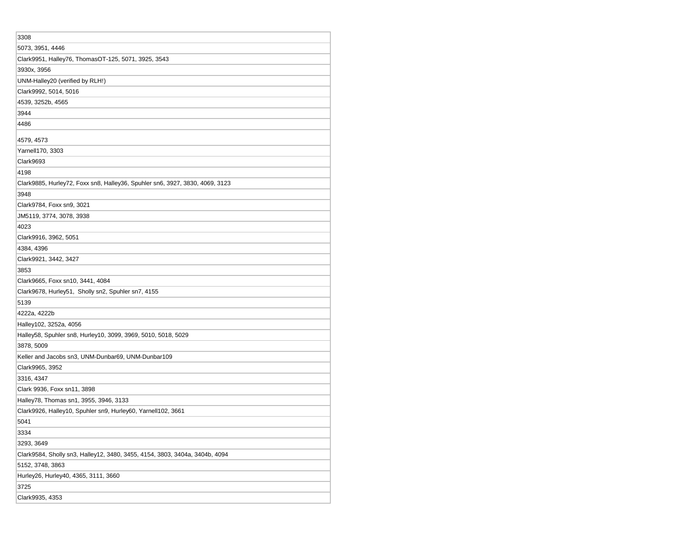| 3308                                                                         |
|------------------------------------------------------------------------------|
| 5073, 3951, 4446                                                             |
| Clark9951, Halley76, ThomasOT-125, 5071, 3925, 3543                          |
| 3930x, 3956                                                                  |
| UNM-Halley20 (verified by RLH!)                                              |
| Clark9992, 5014, 5016                                                        |
| 4539, 3252b, 4565                                                            |
| 3944                                                                         |
| 4486                                                                         |
| 4579, 4573                                                                   |
| Yarnell170, 3303                                                             |
| Clark9693                                                                    |
| 4198                                                                         |
| Clark9885, Hurley72, Foxx sn8, Halley36, Spuhler sn6, 3927, 3830, 4069, 3123 |
| 3948                                                                         |
| Clark9784, Foxx sn9, 3021                                                    |
| JM5119, 3774, 3078, 3938                                                     |
| 4023                                                                         |
| Clark9916, 3962, 5051                                                        |
| 4384, 4396                                                                   |
| Clark9921, 3442, 3427                                                        |
| 3853                                                                         |
| Clark9665, Foxx sn10, 3441, 4084                                             |
| Clark9678, Hurley51, Sholly sn2, Spuhler sn7, 4155                           |
| 5139                                                                         |
| 4222a, 4222b                                                                 |
| Halley102, 3252a, 4056                                                       |
| Halley58, Spuhler sn8, Hurley10, 3099, 3969, 5010, 5018, 5029                |
| 3878, 5009                                                                   |
| Keller and Jacobs sn3, UNM-Dunbar69, UNM-Dunbar109                           |
| Clark9965, 3952                                                              |
| 3316, 4347                                                                   |
| Clark 9936, Foxx sn11, 3898                                                  |
| Halley78, Thomas sn1, 3955, 3946, 3133                                       |
| Clark9926, Halley10, Spuhler sn9, Hurley60, Yarnell102, 3661                 |
| 5041                                                                         |
| 3334                                                                         |
| 3293, 3649                                                                   |
| Clark9584, Sholly sn3, Halley12, 3480, 3455, 4154, 3803, 3404a, 3404b, 4094  |
| 5152, 3748, 3863                                                             |
| Hurley26, Hurley40, 4365, 3111, 3660                                         |
| 3725                                                                         |
| Clark9935, 4353                                                              |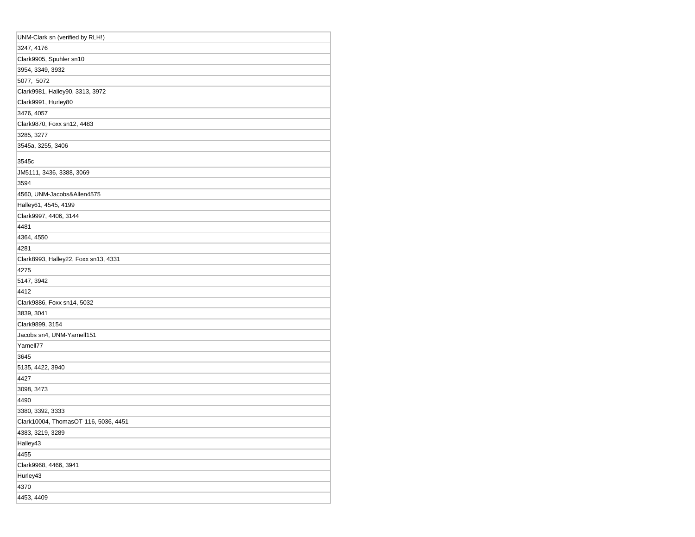| UNM-Clark sn (verified by RLH!)      |
|--------------------------------------|
| 3247, 4176                           |
| Clark9905, Spuhler sn10              |
| 3954, 3349, 3932                     |
| 5077, 5072                           |
| Clark9981, Halley90, 3313, 3972      |
| Clark9991, Hurley80                  |
| 3476, 4057                           |
| Clark9870, Foxx sn12, 4483           |
| 3285, 3277                           |
| 3545a, 3255, 3406                    |
| 3545c                                |
| JM5111, 3436, 3388, 3069             |
| 3594                                 |
| 4560, UNM-Jacobs&Allen4575           |
| Halley61, 4545, 4199                 |
| Clark9997, 4406, 3144                |
| 4481                                 |
| 4364, 4550                           |
| 4281                                 |
| Clark8993, Halley22, Foxx sn13, 4331 |
| 4275                                 |
| 5147, 3942                           |
| 4412                                 |
| Clark9886, Foxx sn14, 5032           |
| 3839, 3041                           |
| Clark9899, 3154                      |
| Jacobs sn4, UNM-Yarnell151           |
| Yarnell77                            |
| 3645                                 |
| 5135, 4422, 3940                     |
| 4427                                 |
| 3098, 3473                           |
| 4490                                 |
| 3380, 3392, 3333                     |
| Clark10004, ThomasOT-116, 5036, 4451 |
| 4383, 3219, 3289                     |
| Halley43                             |
| 4455                                 |
| Clark9968, 4466, 3941                |
| Hurley43                             |
| 4370                                 |
| 4453, 4409                           |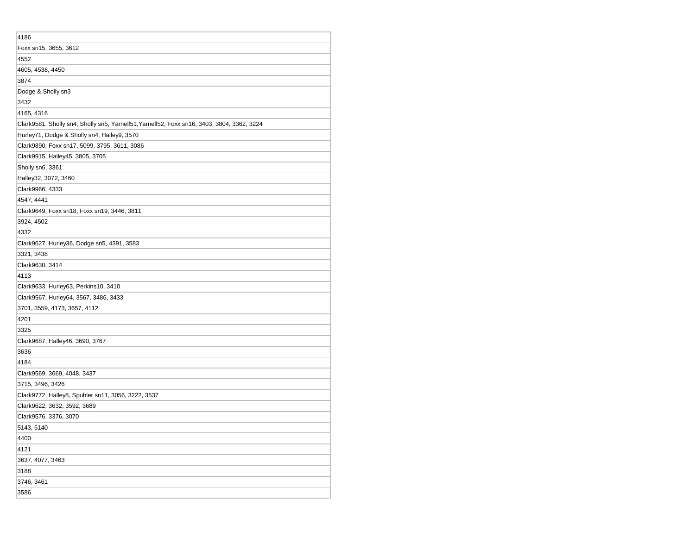| 4186                                                                                       |
|--------------------------------------------------------------------------------------------|
| Foxx sn15, 3655, 3612                                                                      |
| 4552                                                                                       |
| 4605, 4538, 4450                                                                           |
| 3874                                                                                       |
| Dodge & Sholly sn3                                                                         |
| 3432                                                                                       |
| 4165, 4316                                                                                 |
| Clark9581, Sholly sn4, Sholly sn5, Yarnell51, Yarnell52, Foxx sn16, 3403, 3804, 3362, 3224 |
| Hurley71, Dodge & Sholly sn4, Halley9, 3570                                                |
| Clark9890, Foxx sn17, 5099, 3795, 3611, 3086                                               |
| Clark9915, Halley45, 3805, 3705                                                            |
| Sholly sn6, 3361                                                                           |
| Halley32, 3072, 3460                                                                       |
| Clark9966, 4333                                                                            |
| 4547, 4441                                                                                 |
| Clark9649, Foxx sn18, Foxx sn19, 3446, 3811                                                |
| 3924, 4502                                                                                 |
| 4332                                                                                       |
| Clark9627, Hurley36, Dodge sn5, 4391, 3583                                                 |
| 3321, 3438                                                                                 |
| Clark9630, 3414                                                                            |
| 4113                                                                                       |
| Clark9633, Hurley63, Perkins10, 3410                                                       |
| Clark9567, Hurley64, 3567, 3486, 3433                                                      |
| 3701, 3559, 4173, 3657, 4112                                                               |
| 4201                                                                                       |
| 3325                                                                                       |
| Clark9687, Halley46, 3690, 3767                                                            |
| 3636                                                                                       |
| 4184                                                                                       |
| Clark9569, 3669, 4048, 3437                                                                |
| 3715, 3496, 3426                                                                           |
| Clark9772, Halley8, Spuhler sn11, 3056, 3222, 3537                                         |
| Clark9622, 3632, 3592, 3689                                                                |
| Clark9576, 3376, 3070                                                                      |
| 5143, 5140                                                                                 |
| 4400                                                                                       |
| 4121                                                                                       |
| 3637, 4077, 3463                                                                           |
| 3188                                                                                       |
| 3746, 3461                                                                                 |
| 3586                                                                                       |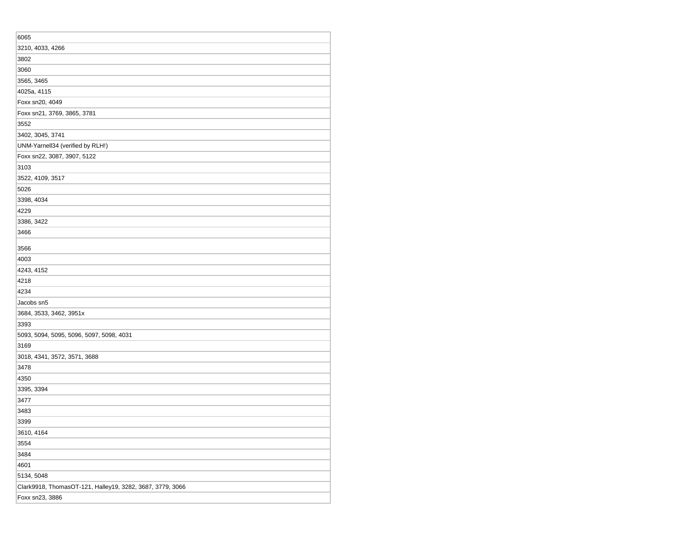| 6065                                                      |
|-----------------------------------------------------------|
| 3210, 4033, 4266                                          |
| 3802                                                      |
| 3060                                                      |
| 3565, 3465                                                |
| 4025a, 4115                                               |
| Foxx sn20, 4049                                           |
| Foxx sn21, 3769, 3865, 3781                               |
| 3552                                                      |
| 3402, 3045, 3741                                          |
| UNM-Yarnell34 (verified by RLH!)                          |
| Foxx sn22, 3087, 3907, 5122                               |
| 3103                                                      |
| 3522, 4109, 3517                                          |
| 5026                                                      |
| 3398, 4034                                                |
| 4229                                                      |
| 3386, 3422                                                |
| 3466                                                      |
| 3566                                                      |
| 4003                                                      |
| 4243, 4152                                                |
| 4218                                                      |
| 4234                                                      |
| Jacobs sn5                                                |
| 3684, 3533, 3462, 3951x                                   |
| 3393                                                      |
| 5093, 5094, 5095, 5096, 5097, 5098, 4031                  |
| 3169                                                      |
| 3018, 4341, 3572, 3571, 3688                              |
| 3478                                                      |
| 4350                                                      |
| 3395, 3394                                                |
| 3477                                                      |
| 3483                                                      |
| 3399                                                      |
| 3610, 4164                                                |
| 3554                                                      |
| 3484                                                      |
| 4601                                                      |
| 5134, 5048                                                |
| Clark9918, ThomasOT-121, Halley19, 3282, 3687, 3779, 3066 |
| Foxx sn23, 3886                                           |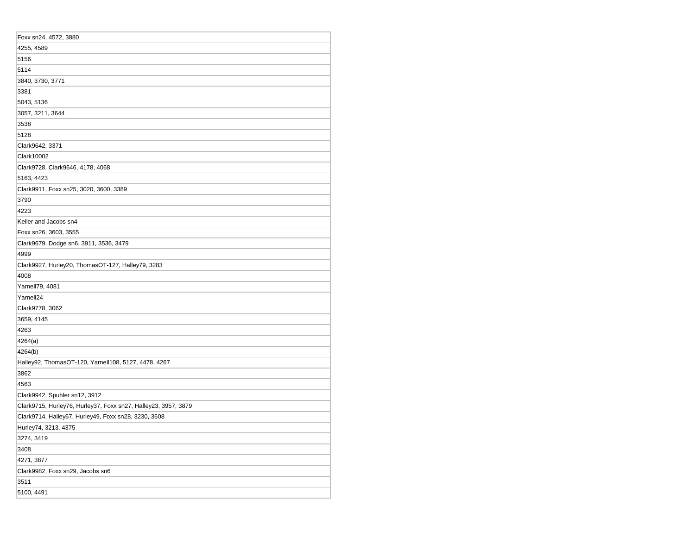| Foxx sn24, 4572, 3880                                          |
|----------------------------------------------------------------|
| 4255, 4589                                                     |
| 5156                                                           |
| 5114                                                           |
| 3840, 3730, 3771                                               |
| 3381                                                           |
| 5043, 5136                                                     |
| 3057, 3211, 3644                                               |
| 3538                                                           |
| 5128                                                           |
| Clark9642, 3371                                                |
| Clark10002                                                     |
| Clark9728, Clark9646, 4178, 4068                               |
| 5163, 4423                                                     |
| Clark9911, Foxx sn25, 3020, 3600, 3389                         |
| 3790                                                           |
| 4223                                                           |
| Keller and Jacobs sn4                                          |
| Foxx sn26, 3603, 3555                                          |
| Clark9679, Dodge sn6, 3911, 3536, 3479                         |
| 4999                                                           |
| Clark9927, Hurley20, ThomasOT-127, Halley79, 3283              |
| 4008                                                           |
| Yarnell79, 4081                                                |
| Yarnell24                                                      |
| Clark9778, 3062                                                |
| 3659, 4145                                                     |
| 4263                                                           |
| 4264(a)                                                        |
| 4264(b)                                                        |
| Halley92, ThomasOT-120, Yarnell108, 5127, 4478, 4267           |
| 3862                                                           |
| 4563                                                           |
| Clark9942, Spuhler sn12, 3912                                  |
| Clark9715, Hurley76, Hurley37, Foxx sn27, Halley23, 3957, 3879 |
| Clark9714, Halley67, Hurley49, Foxx sn28, 3230, 3608           |
| Hurley74, 3213, 4375                                           |
| 3274, 3419                                                     |
| 3408                                                           |
| 4271, 3877                                                     |
| Clark9982, Foxx sn29, Jacobs sn6                               |
| 3511                                                           |
| 5100, 4491                                                     |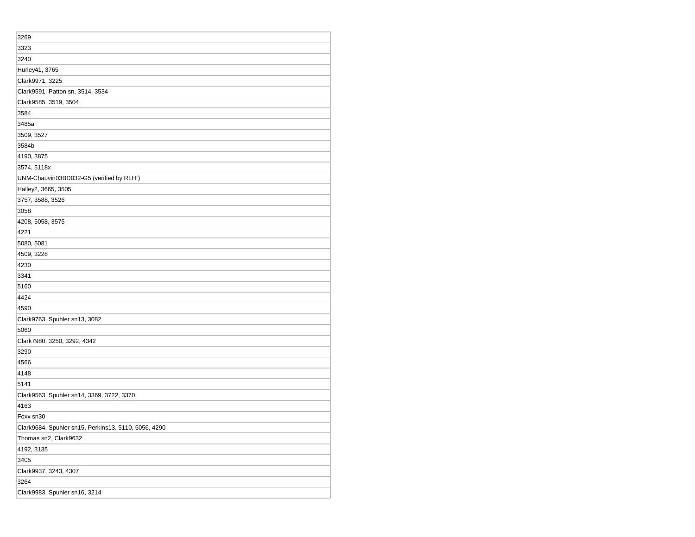| 3269                                                 |
|------------------------------------------------------|
| 3323                                                 |
| 3240                                                 |
| Hurley41, 3765                                       |
| Clark9971, 3225                                      |
| Clark9591, Patton sn, 3514, 3534                     |
| Clark9585, 3519, 3504                                |
| 3584                                                 |
| 3485a                                                |
| 3509, 3527                                           |
| 3584b                                                |
| 4190, 3875                                           |
| 3574, 5118x                                          |
| UNM-Chauvin03BD032-G5 (verified by RLH!)             |
| Halley2, 3665, 3505                                  |
| 3757, 3588, 3526                                     |
| 3058                                                 |
| 4208, 5058, 3575                                     |
| 4221                                                 |
| 5080, 5081                                           |
| 4509, 3228                                           |
| 4230                                                 |
| 3341                                                 |
| 5160                                                 |
| 4424                                                 |
| 4590                                                 |
| Clark9763, Spuhler sn13, 3082                        |
| 5060                                                 |
| Clark7980, 3250, 3292, 4342                          |
| 3290                                                 |
| 4566                                                 |
| 4148                                                 |
| 5141                                                 |
| Clark9563, Spuhler sn14, 3369, 3722, 3370            |
| 4163                                                 |
| Foxx sn30                                            |
| Clark9684, Spuhler sn15, Perkins13, 5110, 5056, 4290 |
| Thomas sn2, Clark9632                                |
| 4192, 3135                                           |
| 3405                                                 |
| Clark9937, 3243, 4307                                |
| 3264                                                 |
| Clark9983, Spuhler sn16, 3214                        |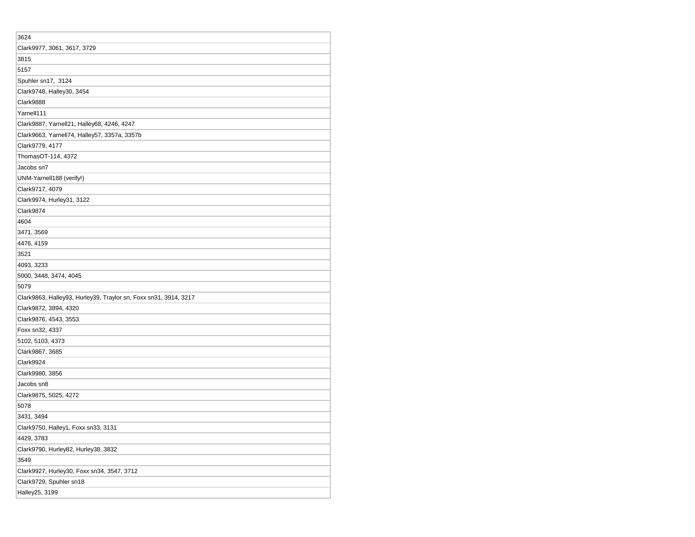| 3624                                                             |
|------------------------------------------------------------------|
| Clark9977, 3061, 3617, 3729                                      |
| 3815                                                             |
| 5157                                                             |
| Spuhler sn17, 3124                                               |
| Clark9748, Halley30, 3454                                        |
| Clark9888                                                        |
| Yarnell111                                                       |
| Clark9887, Yarnell21, Halley68, 4246, 4247                       |
| Clark9663, Yarnell74, Halley57, 3357a, 3357b                     |
| Clark9779, 4177                                                  |
| ThomasOT-114, 4372                                               |
| Jacobs sn7                                                       |
| UNM-Yarnell188 (verify!)                                         |
| Clark9717, 4079                                                  |
| Clark9974, Hurley31, 3122                                        |
| Clark9874                                                        |
| 4604                                                             |
| 3471, 3569                                                       |
| 4476, 4159                                                       |
| 3521                                                             |
| 4093, 3233                                                       |
| 5000, 3448, 3474, 4045                                           |
| 5079                                                             |
| Clark9863, Halley93, Hurley39, Traylor sn, Foxx sn31, 3914, 3217 |
| Clark9872, 3894, 4320                                            |
| Clark9876, 4543, 3553                                            |
| Foxx sn32, 4337                                                  |
| 5102, 5103, 4373                                                 |
| Clark9867, 3685                                                  |
| Clark9924                                                        |
| Clark9980, 3856                                                  |
| Jacobs sn8                                                       |
| Clark9875, 5025, 4272                                            |
| 5078                                                             |
| 3431, 3494                                                       |
| Clark9750, Halley1, Foxx sn33, 3131                              |
| 4429, 3783                                                       |
| Clark9790, Hurley82, Hurley38, 3832                              |
| 3549                                                             |
| Clark9927, Hurley30, Foxx sn34, 3547, 3712                       |
| Clark9729, Spuhler sn18                                          |
| Halley25, 3199                                                   |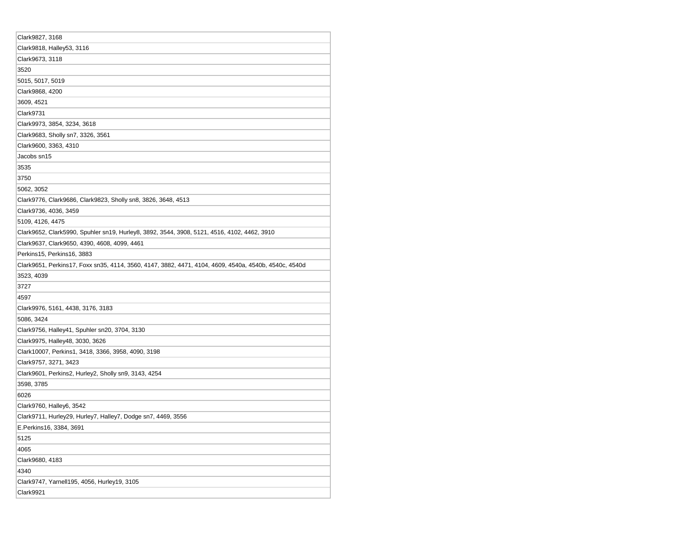| Clark9827, 3168                                                                                       |
|-------------------------------------------------------------------------------------------------------|
| Clark9818, Halley53, 3116                                                                             |
| Clark9673, 3118                                                                                       |
| 3520                                                                                                  |
| 5015, 5017, 5019                                                                                      |
| Clark9868, 4200                                                                                       |
| 3609, 4521                                                                                            |
| Clark9731                                                                                             |
| Clark9973, 3854, 3234, 3618                                                                           |
| Clark9683, Sholly sn7, 3326, 3561                                                                     |
| Clark9600, 3363, 4310                                                                                 |
| Jacobs sn15                                                                                           |
| 3535                                                                                                  |
| 3750                                                                                                  |
| 5062, 3052                                                                                            |
| Clark9776, Clark9686, Clark9823, Sholly sn8, 3826, 3648, 4513                                         |
| Clark9736, 4036, 3459                                                                                 |
| 5109, 4126, 4475                                                                                      |
| Clark9652, Clark5990, Spuhler sn19, Hurley8, 3892, 3544, 3908, 5121, 4516, 4102, 4462, 3910           |
| Clark9637, Clark9650, 4390, 4608, 4099, 4461                                                          |
| Perkins15, Perkins16, 3883                                                                            |
| Clark9651, Perkins17, Foxx sn35, 4114, 3560, 4147, 3882, 4471, 4104, 4609, 4540a, 4540b, 4540c, 4540d |
| 3523, 4039                                                                                            |
| 3727                                                                                                  |
| 4597                                                                                                  |
| Clark9976, 5161, 4438, 3176, 3183                                                                     |
| 5086, 3424                                                                                            |
| Clark9756, Halley41, Spuhler sn20, 3704, 3130                                                         |
| Clark9975, Halley48, 3030, 3626                                                                       |
| Clark10007, Perkins1, 3418, 3366, 3958, 4090, 3198                                                    |
| Clark9757, 3271, 3423                                                                                 |
| Clark9601, Perkins2, Hurley2, Sholly sn9, 3143, 4254                                                  |
| 3598, 3785                                                                                            |
| 6026                                                                                                  |
| Clark9760, Halley6, 3542                                                                              |
| Clark9711, Hurley29, Hurley7, Halley7, Dodge sn7, 4469, 3556                                          |
| E.Perkins16, 3384, 3691                                                                               |
| 5125                                                                                                  |
| 4065                                                                                                  |
| Clark9680, 4183                                                                                       |
| 4340                                                                                                  |
| Clark9747, Yarnell195, 4056, Hurley19, 3105                                                           |
| Clark9921                                                                                             |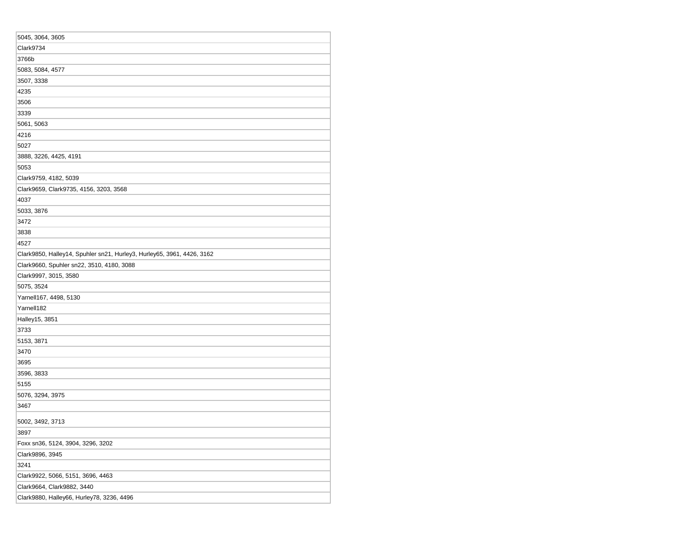| 5045, 3064, 3605                                                       |
|------------------------------------------------------------------------|
| Clark9734                                                              |
| 3766b                                                                  |
| 5083, 5084, 4577                                                       |
| 3507, 3338                                                             |
| 4235                                                                   |
| 3506                                                                   |
| 3339                                                                   |
| 5061, 5063                                                             |
| 4216                                                                   |
| 5027                                                                   |
| 3888, 3226, 4425, 4191                                                 |
| 5053                                                                   |
| Clark9759, 4182, 5039                                                  |
| Clark9659, Clark9735, 4156, 3203, 3568                                 |
| 4037                                                                   |
| 5033, 3876                                                             |
| 3472                                                                   |
| 3838                                                                   |
| 4527                                                                   |
| Clark9850, Halley14, Spuhler sn21, Hurley3, Hurley65, 3961, 4426, 3162 |
| Clark9660, Spuhler sn22, 3510, 4180, 3088                              |
| Clark9997, 3015, 3580                                                  |
| 5075, 3524                                                             |
| Yarnell167, 4498, 5130                                                 |
| Yarnell182                                                             |
| Halley15, 3851                                                         |
| 3733                                                                   |
| 5153, 3871                                                             |
| 3470                                                                   |
| 3695                                                                   |
| 3596, 3833                                                             |
| 5155                                                                   |
| 5076, 3294, 3975                                                       |
| 3467                                                                   |
| 5002, 3492, 3713                                                       |
| 3897                                                                   |
| Foxx sn36, 5124, 3904, 3296, 3202                                      |
| Clark9896, 3945                                                        |
| 3241                                                                   |
| Clark9922, 5066, 5151, 3696, 4463                                      |
| Clark9664, Clark9882, 3440                                             |
| Clark9880, Halley66, Hurley78, 3236, 4496                              |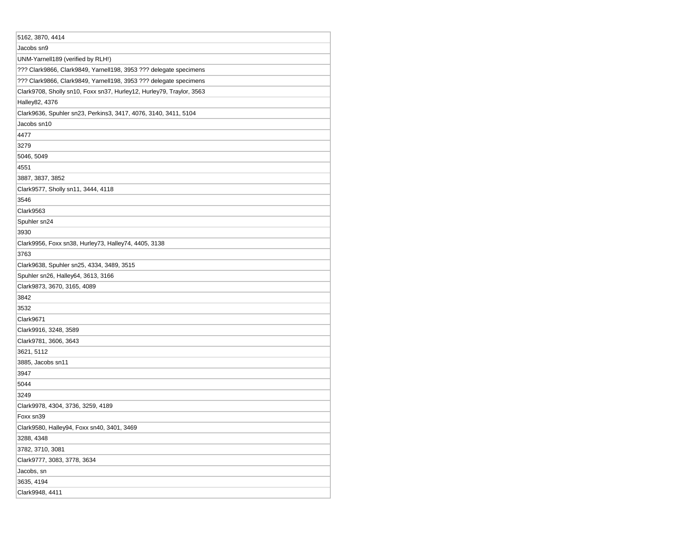| 5162, 3870, 4414                                                     |
|----------------------------------------------------------------------|
| Jacobs sn9                                                           |
| UNM-Yarnell189 (verified by RLH!)                                    |
| ??? Clark9866, Clark9849, Yarnell198, 3953 ??? delegate specimens    |
| ??? Clark9866, Clark9849, Yarnell198, 3953 ??? delegate specimens    |
| Clark9708, Sholly sn10, Foxx sn37, Hurley12, Hurley79, Traylor, 3563 |
| Halley82, 4376                                                       |
| Clark9636, Spuhler sn23, Perkins3, 3417, 4076, 3140, 3411, 5104      |
| Jacobs sn10                                                          |
| 4477                                                                 |
| 3279                                                                 |
| 5046, 5049                                                           |
| 4551                                                                 |
| 3887, 3837, 3852                                                     |
| Clark9577, Sholly sn11, 3444, 4118                                   |
| 3546                                                                 |
| Clark9563                                                            |
| Spuhler sn24                                                         |
| 3930                                                                 |
| Clark9956, Foxx sn38, Hurley73, Halley74, 4405, 3138                 |
| 3763                                                                 |
| Clark9638, Spuhler sn25, 4334, 3489, 3515                            |
| Spuhler sn26, Halley64, 3613, 3166                                   |
| Clark9873, 3670, 3165, 4089                                          |
| 3842                                                                 |
| 3532                                                                 |
| Clark9671                                                            |
| Clark9916, 3248, 3589                                                |
| Clark9781, 3606, 3643                                                |
| 3621, 5112                                                           |
| 3885, Jacobs sn11                                                    |
| 3947                                                                 |
| 5044                                                                 |
| 3249                                                                 |
| Clark9978, 4304, 3736, 3259, 4189                                    |
| Foxx sn39                                                            |
| Clark9580, Halley94, Foxx sn40, 3401, 3469                           |
| 3288, 4348                                                           |
| 3782, 3710, 3081                                                     |
| Clark9777, 3083, 3778, 3634                                          |
| Jacobs, sn                                                           |
| 3635, 4194                                                           |
| Clark9948, 4411                                                      |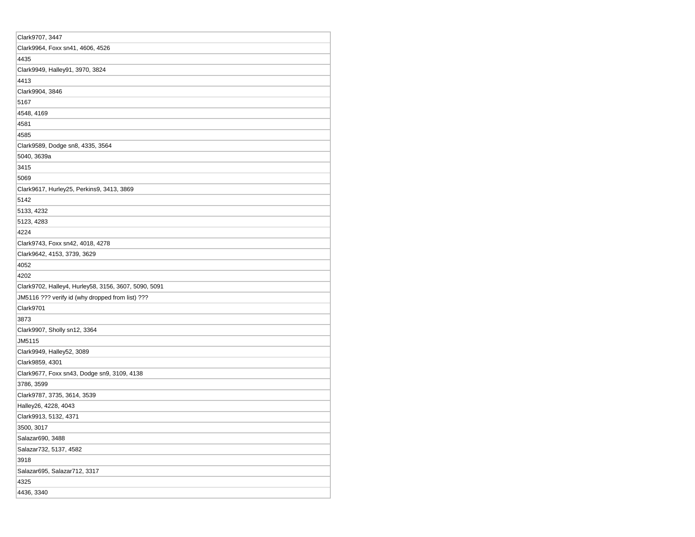| Clark9707, 3447                                      |
|------------------------------------------------------|
| Clark9964, Foxx sn41, 4606, 4526                     |
| 4435                                                 |
| Clark9949, Halley91, 3970, 3824                      |
| 4413                                                 |
| Clark9904, 3846                                      |
| 5167                                                 |
| 4548, 4169                                           |
| 4581                                                 |
| 4585                                                 |
| Clark9589, Dodge sn8, 4335, 3564                     |
| 5040, 3639a                                          |
| 3415                                                 |
| 5069                                                 |
| Clark9617, Hurley25, Perkins9, 3413, 3869            |
| 5142                                                 |
| 5133, 4232                                           |
| 5123, 4283                                           |
| 4224                                                 |
| Clark9743, Foxx sn42, 4018, 4278                     |
| Clark9642, 4153, 3739, 3629                          |
| 4052                                                 |
| 4202                                                 |
| Clark9702, Halley4, Hurley58, 3156, 3607, 5090, 5091 |
| JM5116 ??? verify id (why dropped from list) ???     |
| Clark9701                                            |
| 3873                                                 |
| Clark9907, Sholly sn12, 3364                         |
| JM5115                                               |
| Clark9949, Halley52, 3089                            |
| Clark9859, 4301                                      |
| Clark9677, Foxx sn43, Dodge sn9, 3109, 4138          |
| 3786, 3599                                           |
| Clark9787, 3735, 3614, 3539                          |
| Halley26, 4228, 4043                                 |
| Clark9913, 5132, 4371                                |
| 3500, 3017                                           |
| Salazar690, 3488                                     |
| Salazar732, 5137, 4582                               |
| 3918                                                 |
| Salazar695, Salazar712, 3317                         |
| 4325                                                 |
| 4436, 3340                                           |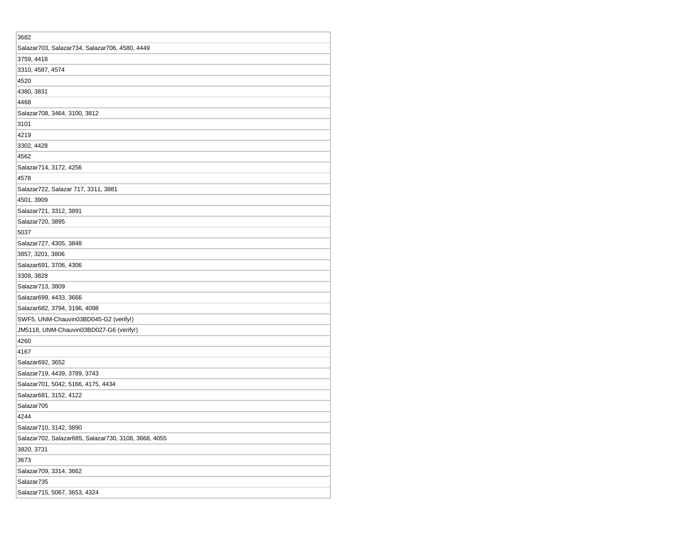| 3682                                                 |
|------------------------------------------------------|
| Salazar703, Salazar734, Salazar706, 4580, 4449       |
| 3759, 4418                                           |
| 3310, 4587, 4574                                     |
| 4520                                                 |
| 4380, 3831                                           |
| 4468                                                 |
| Salazar708, 3464, 3100, 3812                         |
| 3101                                                 |
| 4219                                                 |
| 3302, 4428                                           |
| 4562                                                 |
| Salazar714, 3172, 4256                               |
| 4578                                                 |
| Salazar722, Salazar 717, 3311, 3881                  |
| 4501, 3909                                           |
| Salazar721, 3312, 3891                               |
| Salazar720, 3895                                     |
| 5037                                                 |
| Salazar727, 4305, 3848                               |
| 3857, 3201, 3806                                     |
| Salazar691, 3706, 4306                               |
| 3309, 3828                                           |
| Salazar713, 3809                                     |
| Salazar699, 4433, 3666                               |
| Salazar682, 3794, 3196, 4098                         |
| SWF5, UNM-Chauvin03BD045-G2 (verify!)                |
| JM5118, UNM-Chauvin03BD027-G6 (verify!)              |
| 4260                                                 |
| 4167                                                 |
| Salazar692, 3652                                     |
| Salazar719, 4439, 3789, 3743                         |
| Salazar701, 5042, 5166, 4175, 4434                   |
| Salazar681, 3152, 4122                               |
| Salazar705                                           |
| 4244                                                 |
| Salazar710, 3142, 3890                               |
| Salazar702, Salazar685, Salazar730, 3108, 3668, 4055 |
| 3820, 3731                                           |
| 3673                                                 |
| Salazar709, 3314, 3662                               |
| Salazar735                                           |
| Salazar715, 5067, 3653, 4324                         |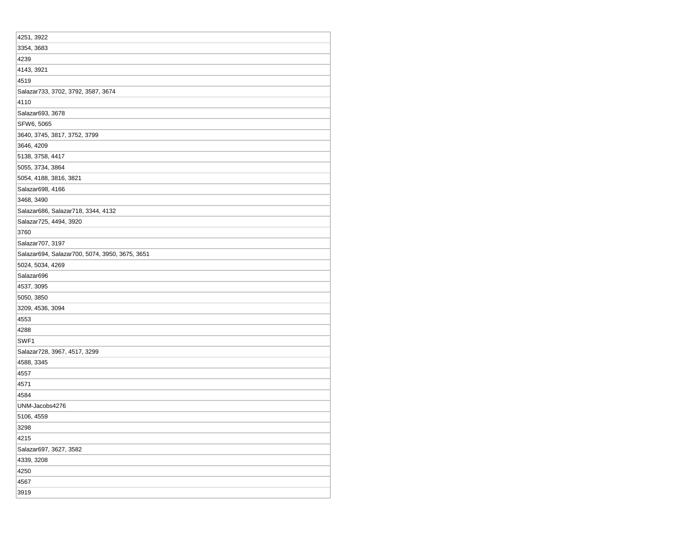| 4251, 3922                                     |
|------------------------------------------------|
| 3354, 3683                                     |
| 4239                                           |
| 4143, 3921                                     |
| 4519                                           |
| Salazar733, 3702, 3792, 3587, 3674             |
| 4110                                           |
| Salazar693, 3678                               |
| SFW6, 5065                                     |
| 3640, 3745, 3817, 3752, 3799                   |
| 3646, 4209                                     |
| 5138, 3758, 4417                               |
| 5055, 3734, 3864                               |
| 5054, 4188, 3816, 3821                         |
| Salazar698, 4166                               |
| 3468, 3490                                     |
| Salazar686, Salazar718, 3344, 4132             |
| Salazar725, 4494, 3920                         |
| 3760                                           |
| Salazar707, 3197                               |
| Salazar694, Salazar700, 5074, 3950, 3675, 3651 |
| 5024, 5034, 4269                               |
| Salazar696                                     |
| 4537, 3095                                     |
| 5050, 3850                                     |
| 3209, 4536, 3094                               |
| 4553                                           |
| 4288                                           |
| SWF1                                           |
| Salazar728, 3967, 4517, 3299                   |
| 4588, 3345                                     |
| 4557                                           |
| 4571                                           |
| 4584                                           |
| UNM-Jacobs4276                                 |
| 5106, 4559                                     |
| 3298                                           |
| 4215                                           |
| Salazar697, 3627, 3582                         |
| 4339, 3208                                     |
| 4250                                           |
| 4567                                           |
| 3919                                           |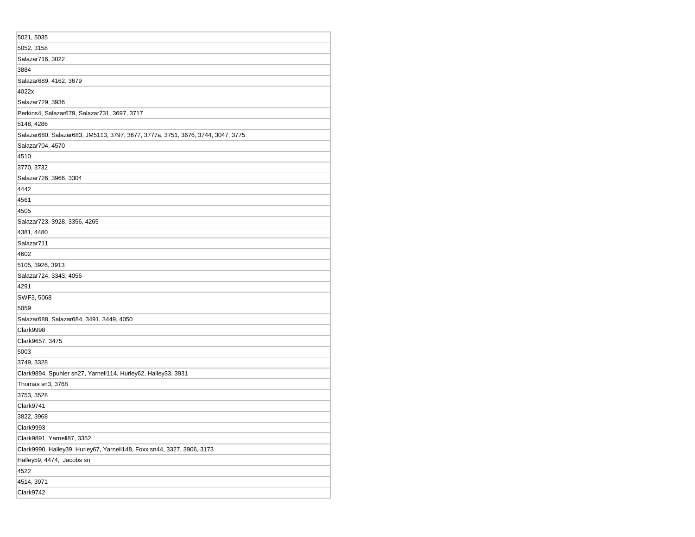| 5021, 5035                                                                      |
|---------------------------------------------------------------------------------|
| 5052, 3158                                                                      |
| Salazar716, 3022                                                                |
| 3884                                                                            |
| Salazar689, 4162, 3679                                                          |
| 4022x                                                                           |
| Salazar729, 3936                                                                |
| Perkins4, Salazar679, Salazar731, 3697, 3717                                    |
| 5148, 4286                                                                      |
| Salazar680, Salazar683, JM5113, 3797, 3677, 3777a, 3751, 3676, 3744, 3047, 3775 |
| Salazar704, 4570                                                                |
| 4510                                                                            |
| 3770, 3732                                                                      |
| Salazar726, 3966, 3304                                                          |
| 4442                                                                            |
| 4561                                                                            |
| 4505                                                                            |
| Salazar723, 3928, 3356, 4265                                                    |
| 4381, 4480                                                                      |
| Salazar711                                                                      |
| 4602                                                                            |
| 5105, 3926, 3913                                                                |
| Salazar724, 3343, 4056                                                          |
| 4291                                                                            |
| SWF3, 5068                                                                      |
| 5059                                                                            |
| Salazar688, Salazar684, 3491, 3449, 4050                                        |
| Clark9998                                                                       |
| Clark9657, 3475                                                                 |
| 5003                                                                            |
| 3749, 3328                                                                      |
| Clark9894, Spuhler sn27, Yarnell114, Hurley62, Halley33, 3931                   |
| Thomas sn3, 3768                                                                |
| 3753, 3528                                                                      |
| Clark9741                                                                       |
| 3822, 3968                                                                      |
| Clark9993                                                                       |
| Clark9891, Yarnell87, 3352                                                      |
| Clark9990, Halley39, Hurley67, Yarnell148, Foxx sn44, 3327, 3906, 3173          |
| Halley59, 4474, Jacobs sn                                                       |
| 4522                                                                            |
| 4514, 3971                                                                      |
| Clark9742                                                                       |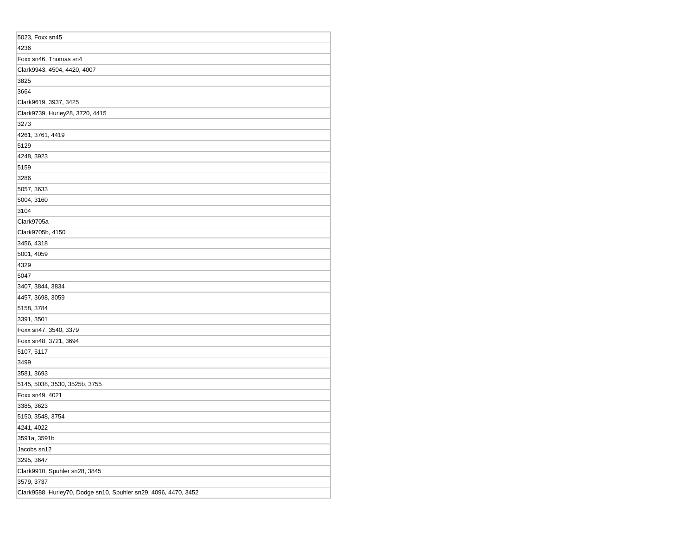| 5023, Foxx sn45                                                 |
|-----------------------------------------------------------------|
| 4236                                                            |
| Foxx sn46, Thomas sn4                                           |
| Clark9943, 4504, 4420, 4007                                     |
| 3825                                                            |
| 3664                                                            |
| Clark9619, 3937, 3425                                           |
| Clark9739, Hurley28, 3720, 4415                                 |
| 3273                                                            |
| 4261, 3761, 4419                                                |
| 5129                                                            |
| 4248, 3923                                                      |
| 5159                                                            |
| 3286                                                            |
| 5057, 3633                                                      |
| 5004, 3160                                                      |
| 3104                                                            |
| Clark9705a                                                      |
| Clark9705b, 4150                                                |
| 3456, 4318                                                      |
| 5001, 4059                                                      |
| 4329                                                            |
| 5047                                                            |
| 3407, 3844, 3834                                                |
| 4457, 3698, 3059                                                |
| 5158, 3784                                                      |
| 3391, 3501                                                      |
| Foxx sn47, 3540, 3379                                           |
| Foxx sn48, 3721, 3694                                           |
| 5107, 5117                                                      |
| 3499                                                            |
| 3581, 3693                                                      |
| 5145, 5038, 3530, 3525b, 3755                                   |
| Foxx sn49, 4021                                                 |
| 3385, 3623                                                      |
| 5150, 3548, 3754                                                |
| 4241, 4022                                                      |
| 3591a, 3591b                                                    |
| Jacobs sn12                                                     |
| 3295, 3647                                                      |
| Clark9910, Spuhler sn28, 3845                                   |
| 3579, 3737                                                      |
| Clark9588, Hurley70, Dodge sn10, Spuhler sn29, 4096, 4470, 3452 |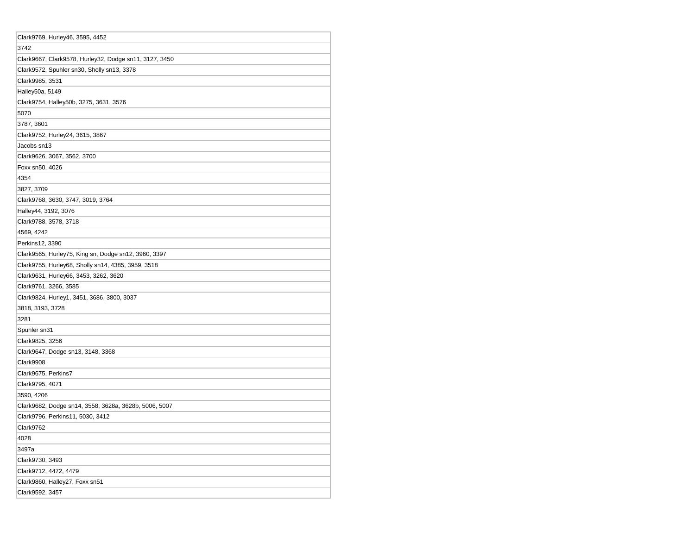| Clark9769, Hurley46, 3595, 4452                        |
|--------------------------------------------------------|
| 3742                                                   |
| Clark9667, Clark9578, Hurley32, Dodge sn11, 3127, 3450 |
| Clark9572, Spuhler sn30, Sholly sn13, 3378             |
| Clark9985, 3531                                        |
| Halley50a, 5149                                        |
| Clark9754, Halley50b, 3275, 3631, 3576                 |
| 5070                                                   |
| 3787, 3601                                             |
| Clark9752, Hurley24, 3615, 3867                        |
| Jacobs sn13                                            |
| Clark9626, 3067, 3562, 3700                            |
| Foxx sn50, 4026                                        |
| 4354                                                   |
| 3827, 3709                                             |
| Clark9768, 3630, 3747, 3019, 3764                      |
| Halley44, 3192, 3076                                   |
| Clark9788, 3578, 3718                                  |
| 4569, 4242                                             |
| Perkins12, 3390                                        |
| Clark9565, Hurley75, King sn, Dodge sn12, 3960, 3397   |
| Clark9755, Hurley68, Sholly sn14, 4385, 3959, 3518     |
| Clark9631, Hurley66, 3453, 3262, 3620                  |
| Clark9761, 3266, 3585                                  |
| Clark9824, Hurley1, 3451, 3686, 3800, 3037             |
| 3818, 3193, 3728                                       |
| 3281                                                   |
| Spuhler sn31                                           |
| Clark9825, 3256                                        |
| Clark9647, Dodge sn13, 3148, 3368                      |
| Clark9908                                              |
| Clark9675, Perkins7                                    |
| Clark9795, 4071                                        |
| 3590, 4206                                             |
| Clark9682, Dodge sn14, 3558, 3628a, 3628b, 5006, 5007  |
| Clark9796, Perkins11, 5030, 3412                       |
| Clark9762                                              |
| 4028                                                   |
| 3497a                                                  |
| Clark9730, 3493                                        |
| Clark9712, 4472, 4479                                  |
| Clark9860, Halley27, Foxx sn51                         |
| Clark9592, 3457                                        |